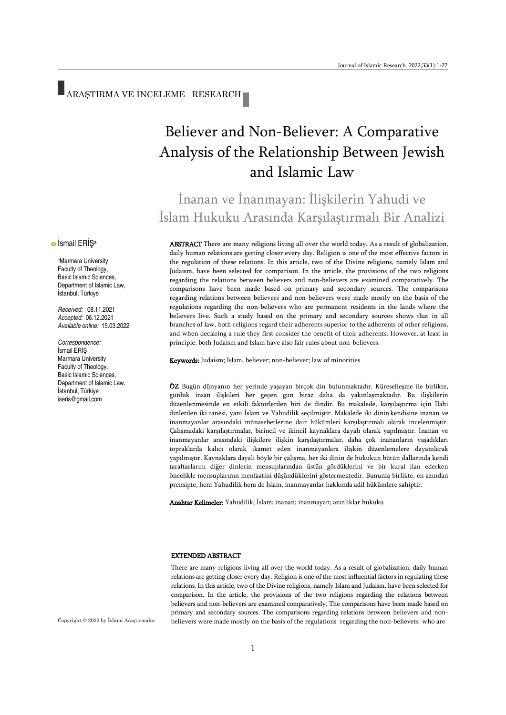# ARAŞTIRMA VE İNCELEME RESEARCH

# Believer and Non-Believer: A Comparative Analysis of the Relationship Between Jewish and Islamic Law

# İnanan ve İnanmayan: İlişkilerin Yahudi ve İslam Hukuku Arasında Karşılaştırmalı Bir Analizi

ABSTRACT There are many religions living all over the world today. As a result of globalization, daily human relations are getting closer every day. Religion is one of the most effective factors in the regulation of these relations. In this article, two of the Divine religions, namely Islam and Judaism, have been selected for comparison. In the article, the provisions of the two religions regarding the relations between believers and non-believers are examined comparatively. The comparisons have been made based on primary and secondary sources. The comparisons regarding relations between believers and non-believers were made mostly on the basis of the regulations regarding the non-believers who are permanent residents in the lands where the believers live. Such a study based on the primary and secondary sources shows that in all branches of law, both religions regard their adherents superior to the adherents of other religions, and when declaring a rule they first consider the benefit of their adherents. However, at least in principle, both Judaism and Islam have also fair rules about non-believers.

Keywords: Judaism; Islam, believer; non-believer; law of minorities

ÖZ Bugün dünyanın her yerinde yaşayan birçok din bulunmaktadır. Küreselleşme ile birlikte, günlük insan ilişkileri her geçen gün biraz daha da yakınlaşmaktadır. Bu ilişkilerin düzenlenmesinde en etkili faktörlerden biri de dindir. Bu makalede, karşılaştırma için İlahi dinlerden iki tanesi, yani İslam ve Yahudilik seçilmiştir. Makalede iki dinin kendisine inanan ve inanmayanlar arasındaki münasebetlerine dair hükümleri karşılaştırmalı olarak incelenmiştir. Çalışmadaki karşılaştırmalar, birincil ve ikincil kaynaklara dayalı olarak yapılmıştır. İnanan ve inanmayanlar arasındaki ilişkilere ilişkin karşılaştırmalar, daha çok inananların yaşadıkları topraklarda kalıcı olarak ikamet eden inanmayanlara ilişkin düzenlemelere dayanılarak yapılmıştır. Kaynaklara dayalı böyle bir çalışma, her iki dinin de hukukun bütün dallarında kendi taraftarlarını diğer dinlerin mensuplarından üstün gördüklerini ve bir kural ilan ederken öncelikle mensuplarının menfaatini düşündüklerini göstermektedir. Bununla birlikte, en azından prensipte, hem Yahudilik hem de İslam, inanmayanlar hakkında adil hükümlere sahiptir.

Anahtar Kelimeler: Yahudilik; İslam; inanan; inanmayan; azınlıklar hukuku

#### EXTENDED ABSTRACT

There are many religions living all over the world today. As a result of globalization, daily human relations are getting closer every day. Religion is one of the most influential factors in regulating these relations. In this article, two of the Divine religions, namely Islam and Judaism, have been selected for comparison. In the article, the provisions of the two religions regarding the relations between believers and non-believers are examined comparatively. The comparisons have been made based on primary and secondary sources. The comparisons regarding relations between believers and nonbelievers were made mostly on the basis of the regulations regarding the non-believers who are

**•** İsmail ERİŞ<sup>a</sup>

<sup>a</sup>Marmara University Faculty of Theology, Basic Islamic Sciences, Department of Islamic Law, İstanbul, Türkiye

*Received:* 08.11.2021 *Accepted:* 06.12.2021 *Available online:* 15.03.2022

*Correspondence:* İsmail ERİŞ Marmara University Faculty of Theology, Basic Islamic Sciences, Department of Islamic Law, İstanbul, Türkiye iseris@gmail.com

Copyright © 2022 by İslâmî Araştırmalar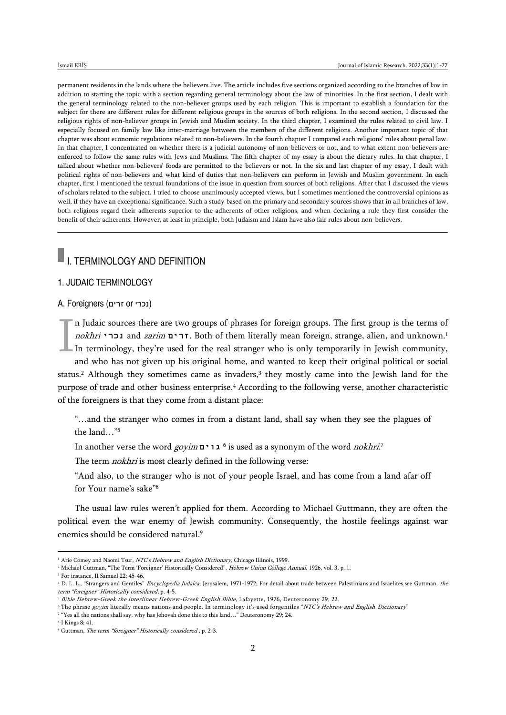permanent residents in the lands where the believers live. The article includes five sections organized according to the branches of law in addition to starting the topic with a section regarding general terminology about the law of minorities. In the first section, I dealt with the general terminology related to the non-believer groups used by each religion. This is important to establish a foundation for the subject for there are different rules for different religious groups in the sources of both religions. In the second section, I discussed the religious rights of non-believer groups in Jewish and Muslim society. In the third chapter, I examined the rules related to civil law. I especially focused on family law like inter-marriage between the members of the different religions. Another important topic of that chapter was about economic regulations related to non-believers. In the fourth chapter I compared each religions' rules about penal law. In that chapter, I concentrated on whether there is a judicial autonomy of non-believers or not, and to what extent non-believers are enforced to follow the same rules with Jews and Muslims. The fifth chapter of my essay is about the dietary rules. In that chapter, I talked about whether non-believers' foods are permitted to the believers or not. In the six and last chapter of my essay, I dealt with political rights of non-believers and what kind of duties that non-believers can perform in Jewish and Muslim government. In each chapter, first I mentioned the textual foundations of the issue in question from sources of both religions. After that I discussed the views of scholars related to the subject. I tried to choose unanimously accepted views, but I sometimes mentioned the controversial opinions as well, if they have an exceptional significance. Such a study based on the primary and secondary sources shows that in all branches of law, both religions regard their adherents superior to the adherents of other religions, and when declaring a rule they first consider the benefit of their adherents. However, at least in principle, both Judaism and Islam have also fair rules about non-believers.

# **I.** I. TERMINOLOGY AND DEFINITION

## 1. JUDAIC TERMINOLOGY

### A. Foreigners (נכרי or ורים)

n Judaic sources there are two groups of phrases for foreign groups. The first group is the terms of nokhri **נכרי** and zarim **זרים**. Both of them literally mean foreign, strange, alien, and unknown.<sup>1</sup> In terminology, they're used for the real stranger who is only temporarily in Jewish community, I

and who has not given up his original home, and wanted to keep their original political or social status.<sup>2</sup> Although they sometimes came as invaders,<sup>3</sup> they mostly came into the Jewish land for the purpose of trade and other business enterprise.<sup>4</sup> According to the following verse, another characteristic of the foreigners is that they come from a distant place:

"…and the stranger who comes in from a distant land, shall say when they see the plagues of the land…"<sup>5</sup>

In another verse the word goyim **גוים** <sup>6</sup> is used as a synonym of the word nokhri. 7

The term *nokhri* is most clearly defined in the following verse:

"And also, to the stranger who is not of your people Israel, and has come from a land afar off for Your name's sake"<sup>8</sup>

The usual law rules weren't applied for them. According to Michael Guttmann, they are often the political even the war enemy of Jewish community. Consequently, the hostile feelings against war enemies should be considered natural.<sup>9</sup>

<sup>&</sup>lt;sup>1</sup> Arie Comey and Naomi Tsur, NTC's Hebrew and English Dictionary, Chicago Illinois, 1999.

<sup>&</sup>lt;sup>2</sup> Michael Guttman, "The Term 'Foreigner' Historically Considered", Hebrew Union College Annual, 1926, vol. 3, p. 1.

<sup>3</sup> For instance, II Samuel 22; 45-46.

<sup>&</sup>lt;sup>4</sup> D. L. L., "Strangers and Gentiles" Encyclopedia Judaica, Jerusalem, 1971-1972; For detail about trade between Palestinians and Israelites see Guttman, the term "foreigner" Historically considered, p. 4-5.

<sup>&</sup>lt;sup>5</sup> Bible Hebrew-Greek the interlinear Hebrew-Greek English Bible, Lafayette, 1976, Deuteronomy 29; 22.

<sup>&</sup>lt;sup>6</sup> The phrase goyim literally means nations and people. In terminology it's used forgentiles "NTC's Hebrew and English Dictionary"

<sup>7</sup> "Yes all the nations shall say, why has Jehovah done this to this land…" Deuteronomy 29; 24.

<sup>8</sup> I Kings 8; 41.

<sup>9</sup> Guttman, The term "foreigner" Historically considered , p. 2-3.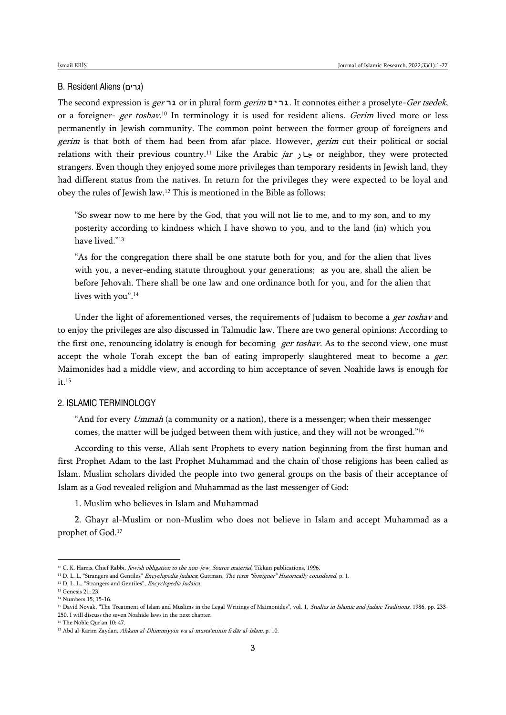### B. Resident Aliens (גרים)

The second expression is ger **גר** or in plural form gerim **גרים**. It connotes either a proselyte-Ger tsedek, or a foreigner- *ger toshav*.10 In terminology it is used for resident aliens. *Gerim* lived more or less permanently in Jewish community. The common point between the former group of foreigners and gerim is that both of them had been from afar place. However, gerim cut their political or social relations with their previous country.<sup>11</sup> Like the Arabic jar **جار** or neighbor, they were protected strangers. Even though they enjoyed some more privileges than temporary residents in Jewish land, they had different status from the natives. In return for the privileges they were expected to be loyal and obey the rules of Jewish law.<sup>12</sup> This is mentioned in the Bible as follows:

"So swear now to me here by the God, that you will not lie to me, and to my son, and to my posterity according to kindness which I have shown to you, and to the land (in) which you have lived."<sup>13</sup>

"As for the congregation there shall be one statute both for you, and for the alien that lives with you, a never-ending statute throughout your generations; as you are, shall the alien be before Jehovah. There shall be one law and one ordinance both for you, and for the alien that lives with you".<sup>14</sup>

Under the light of aforementioned verses, the requirements of Judaism to become a *ger toshav* and to enjoy the privileges are also discussed in Talmudic law. There are two general opinions: According to the first one, renouncing idolatry is enough for becoming *ger toshav*. As to the second view, one must accept the whole Torah except the ban of eating improperly slaughtered meat to become a ger. Maimonides had a middle view, and according to him acceptance of seven Noahide laws is enough for it.<sup>15</sup>

### 2. ISLAMIC TERMINOLOGY

"And for every *Ummah* (a community or a nation), there is a messenger; when their messenger comes, the matter will be judged between them with justice, and they will not be wronged."<sup>16</sup>

According to this verse, Allah sent Prophets to every nation beginning from the first human and first Prophet Adam to the last Prophet Muhammad and the chain of those religions has been called as Islam. Muslim scholars divided the people into two general groups on the basis of their acceptance of Islam as a God revealed religion and Muhammad as the last messenger of God:

1. Muslim who believes in Islam and Muhammad

2. Ghayr al-Muslim or non-Muslim who does not believe in Islam and accept Muhammad as a prophet of God.<sup>17</sup>

<sup>&</sup>lt;sup>10</sup> C. K. Harris, Chief Rabbi, *Jewish obligation to the non-Jew, Source material*, Tikkun publications, 1996.

<sup>&</sup>lt;sup>11</sup> D. L. L. "Strangers and Gentiles" *Encyclopedia Judaica*; Guttman, The term "foreigner" Historically considered, p. 1.

<sup>&</sup>lt;sup>12</sup> D. L. L., "Strangers and Gentiles", *Encyclopedia Judaica*.

<sup>13</sup> Genesis 21; 23.

<sup>14</sup> Numbers 15; 15-16.

<sup>&</sup>lt;sup>15</sup> David Novak, "The Treatment of Islam and Muslims in the Legal Writings of Maimonides", vol. 1, Studies in Islamic and Judaic Traditions, 1986, pp. 233-250. I will discuss the seven Noahide laws in the next chapter.

<sup>16</sup> The Noble Qur'an 10: 47.

<sup>17</sup> Abd al-Karim Zaydan, Ahkam al-Dhimmiyyin wa al-musta'minin fi dār al-Islam, p. 10.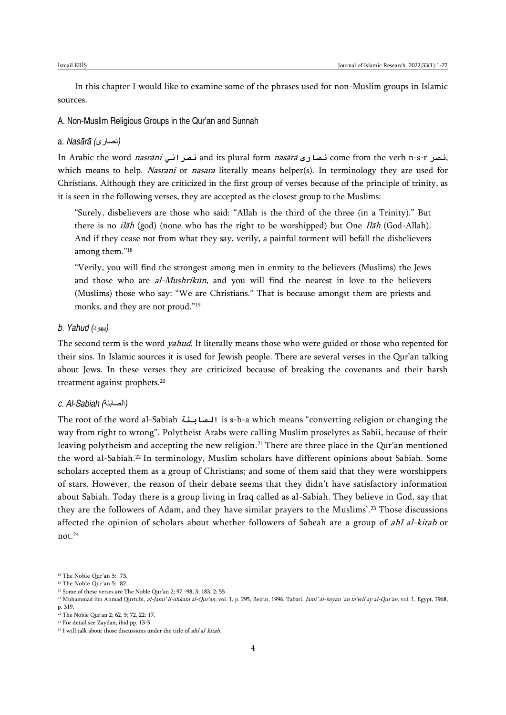In this chapter I would like to examine some of the phrases used for non-Muslim groups in Islamic sources.

A. Non-Muslim Religious Groups in the Qur'an and Sunnah

#### a. *Nasārā (*نصارى*(*

In Arabic the word nasrāni **نصراني** and its plural form nasārā **نصارى** come from the verb n-s-r **نصر**, which means to help. Nasrani or nasārā literally means helper(s). In terminology they are used for Christians. Although they are criticized in the first group of verses because of the principle of trinity, as it is seen in the following verses, they are accepted as the closest group to the Muslims:

"Surely, disbelievers are those who said: "Allah is the third of the three (in a Trinity)." But there is no *ilāh* (god) (none who has the right to be worshipped) but One *Ilāh* (God-Allah). And if they cease not from what they say, verily, a painful torment will befall the disbelievers among them."<sup>18</sup>

"Verily, you will find the strongest among men in enmity to the believers (Muslims) the Jews and those who are al-Mushrikūn, and you will find the nearest in love to the believers (Muslims) those who say: "We are Christians." That is because amongst them are priests and monks, and they are not proud."<sup>19</sup>

#### *b. Yahud (*يهود*(*

The second term is the word *yahud*. It literally means those who were guided or those who repented for their sins. In Islamic sources it is used for Jewish people. There are several verses in the Qur'an talking about Jews. In these verses they are criticized because of breaking the covenants and their harsh treatment against prophets.<sup>20</sup>

### *c. Al-Sabiah (*الصابئة*(*

The root of the word al-Sabiah **الصابئة** is s-b-a which means "converting religion or changing the way from right to wrong". Polytheist Arabs were calling Muslim proselytes as Sabii, because of their leaving polytheism and accepting the new religion.<sup>21</sup> There are three place in the Qur'an mentioned the word al-Sabiah.<sup>22</sup> In terminology, Muslim scholars have different opinions about Sabiah. Some scholars accepted them as a group of Christians; and some of them said that they were worshippers of stars. However, the reason of their debate seems that they didn't have satisfactory information about Sabiah. Today there is a group living in Iraq called as al-Sabiah. They believe in God, say that they are the followers of Adam, and they have similar prayers to the Muslims'.<sup>23</sup> Those discussions affected the opinion of scholars about whether followers of Sabeah are a group of *ahl al-kitab* or not.<sup>24</sup>

<sup>18</sup> The Noble Qur'an 5: 73.

<sup>19</sup> The Noble Qur'an 5: 82.

<sup>20</sup> Some of these verses are The Noble Qur'an 2; 97 -98, 3; 183, 2; 55.

<sup>&</sup>lt;sup>21</sup> Muhammad ibn Ahmad Qurtubi, al-Jami' li-ahkam al-Qur'an, vol. 1, p. 295, Beirut, 1996; Tabari, Jami' al-bayan 'an ta'wil ay al-Qur'an, vol. 1, Egypt, 1968, p. 319.

<sup>22</sup> The Noble Qur'an 2; 62, 5; 72, 22; 17.

<sup>23</sup> For detail see Zaydan, ibid pp. 13-5.

 $24$  I will talk about those discussions under the title of ahl al-kitab.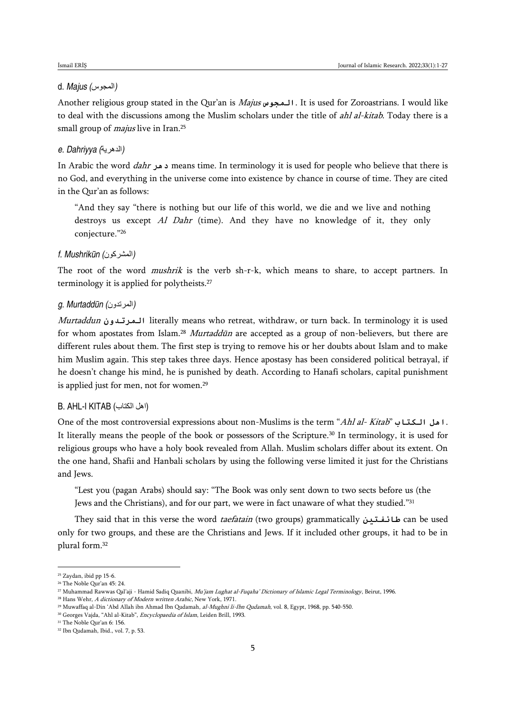## d. *Majus (*المجوس*(*

Another religious group stated in the Qur'an is Majus **المجوس**. It is used for Zoroastrians. I would like to deal with the discussions among the Muslim scholars under the title of *ahl al-kitab*. Today there is a small group of *majus* live in Iran.<sup>25</sup>

### *e. Dahriyya (*الدهرية*(*

In Arabic the word dahr **دهر** means time. In terminology it is used for people who believe that there is no God, and everything in the universe come into existence by chance in course of time. They are cited in the Qur'an as follows:

"And they say "there is nothing but our life of this world, we die and we live and nothing destroys us except Al Dahr (time). And they have no knowledge of it, they only conjecture."<sup>26</sup>

### *f. Mushrikūn (*المشركون*(*

The root of the word *mushrik* is the verb sh-r-k, which means to share, to accept partners. In terminology it is applied for polytheists.<sup>27</sup>

### *g. Murtaddūn (*المرتدون*(*

Murtaddun **المرتدون** literally means who retreat, withdraw, or turn back. In terminology it is used for whom apostates from Islam.<sup>28</sup> Murtaddūn are accepted as a group of non-believers, but there are different rules about them. The first step is trying to remove his or her doubts about Islam and to make him Muslim again. This step takes three days. Hence apostasy has been considered political betrayal, if he doesn't change his mind, he is punished by death. According to Hanafi scholars, capital punishment is applied just for men, not for women.<sup>29</sup>

### B. AHL-I KITAB (الكتاب اهل(

One of the most controversial expressions about non-Muslims is the term "Ahl al- Kitab" **الكتاب اهل**. It literally means the people of the book or possessors of the Scripture.<sup>30</sup> In terminology, it is used for religious groups who have a holy book revealed from Allah. Muslim scholars differ about its extent. On the one hand, Shafii and Hanbali scholars by using the following verse limited it just for the Christians and Jews.

"Lest you (pagan Arabs) should say: "The Book was only sent down to two sects before us (the Jews and the Christians), and for our part, we were in fact unaware of what they studied."<sup>31</sup>

They said that in this verse the word taefatain (two groups) grammatically **طائفتين** can be used only for two groups, and these are the Christians and Jews. If it included other groups, it had to be in plural form.<sup>32</sup>

<sup>25</sup> Zaydan, ibid pp 15-6.

<sup>26</sup> The Noble Qur'an 45: 24.

<sup>&</sup>lt;sup>27</sup> Muhammad Rawwas Qal'aji - Hamid Sadiq Quanibi, Mu'jam Lughat al-Fuqaha' Dictionary of Islamic Legal Terminology, Beirut, 1996.

<sup>&</sup>lt;sup>28</sup> Hans Wehr, A dictionary of Modern written Arabic, New York, 1971.

<sup>&</sup>lt;sup>29</sup> Muwaffaq al-Din 'Abd Allah ibn Ahmad Ibn Qudamah, al-Mughni li-Ibn Qudamah, vol. 8, Egypt, 1968, pp. 540-550.

<sup>&</sup>lt;sup>30</sup> Georges Vajda, "Ahl al-Kitab", Encyclopaedia of Islam, Leiden Brill, 1993.

<sup>31</sup> The Noble Qur'an 6: 156.

<sup>32</sup> Ibn Qudamah, Ibid., vol. 7, p. 53.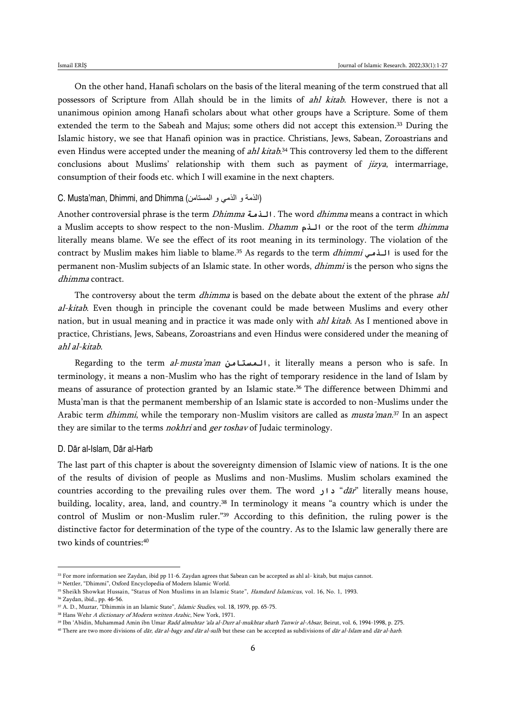On the other hand, Hanafi scholars on the basis of the literal meaning of the term construed that all possessors of Scripture from Allah should be in the limits of ahl kitab. However, there is not a unanimous opinion among Hanafi scholars about what other groups have a Scripture. Some of them extended the term to the Sabeah and Majus; some others did not accept this extension.<sup>33</sup> During the Islamic history, we see that Hanafi opinion was in practice. Christians, Jews, Sabean, Zoroastrians and even Hindus were accepted under the meaning of *ahl kitab.*<sup>34</sup> This controversy led them to the different conclusions about Muslims' relationship with them such as payment of  $jizya$ , intermarriage, consumption of their foods etc. which I will examine in the next chapters.

### C. Musta'man, Dhimmi, and Dhimma (الذمة و الذمي و المستامن)

Another controversial phrase is the term Dhimma **الذمة**. The word dhimma means a contract in which a Muslim accepts to show respect to the non-Muslim. Dhamm **الذم** or the root of the term dhimma literally means blame. We see the effect of its root meaning in its terminology. The violation of the contract by Muslim makes him liable to blame.<sup>35</sup> As regards to the term dhimmi **الذمي** is used for the permanent non-Muslim subjects of an Islamic state. In other words, dhimmi is the person who signs the dhimma contract.

The controversy about the term *dhimma* is based on the debate about the extent of the phrase *ahl* al-kitab. Even though in principle the covenant could be made between Muslims and every other nation, but in usual meaning and in practice it was made only with *ahl kitab*. As I mentioned above in practice, Christians, Jews, Sabeans, Zoroastrians and even Hindus were considered under the meaning of ahl al-kitab.

Regarding to the term al-musta'man **المستامن**, it literally means a person who is safe. In terminology, it means a non-Muslim who has the right of temporary residence in the land of Islam by means of assurance of protection granted by an Islamic state.<sup>36</sup> The difference between Dhimmi and Musta'man is that the permanent membership of an Islamic state is accorded to non-Muslims under the Arabic term *dhimmi*, while the temporary non-Muslim visitors are called as *musta'man*.<sup>37</sup> In an aspect they are similar to the terms nokhri and ger toshav of Judaic terminology.

### D. Dār al-Islam, Dār al-Harb

The last part of this chapter is about the sovereignty dimension of Islamic view of nations. It is the one of the results of division of people as Muslims and non-Muslims. Muslim scholars examined the countries according to the prevailing rules over them. The word **دار**" dār" literally means house, building, locality, area, land, and country.<sup>38</sup> In terminology it means "a country which is under the control of Muslim or non-Muslim ruler."<sup>39</sup> According to this definition, the ruling power is the distinctive factor for determination of the type of the country. As to the Islamic law generally there are two kinds of countries:<sup>40</sup>

 $^{33}$  For more information see Zaydan, ibid pp 11-6. Zaydan agrees that Sabean can be accepted as ahl al- kitab, but majus cannot.

<sup>34</sup> Nettler, "Dhimmi", Oxford Encyclopedia of Modern Islamic World.

<sup>&</sup>lt;sup>35</sup> Sheikh Showkat Hussain, "Status of Non Muslims in an Islamic State", *Hamdard Islamicus*, vol. 16, No. 1, 1993.

<sup>36</sup> Zaydan, ibid., pp. 46-56.

<sup>&</sup>lt;sup>37</sup> A. D., Muztar, "Dhimmis in an Islamic State", *Islamic Studies*, vol. 18, 1979, pp. 65-75.

<sup>&</sup>lt;sup>38</sup> Hans Wehr A dictionary of Modern written Arabic, New York, 1971.

<sup>&</sup>lt;sup>39</sup> Ibn 'Abidin, Muhammad Amin ibn Umar *Radd almuhtar 'ala al-Durr al-mukhtar sharh Tanwir al-Absar*, Beirut, vol. 6, 1994-1998, p. 275.

<sup>&</sup>lt;sup>40</sup> There are two more divisions of *dār, dār al-bagy and dār al-sulh* but these can be accepted as subdivisions of *dār al-Islam* and *dār al-harb*.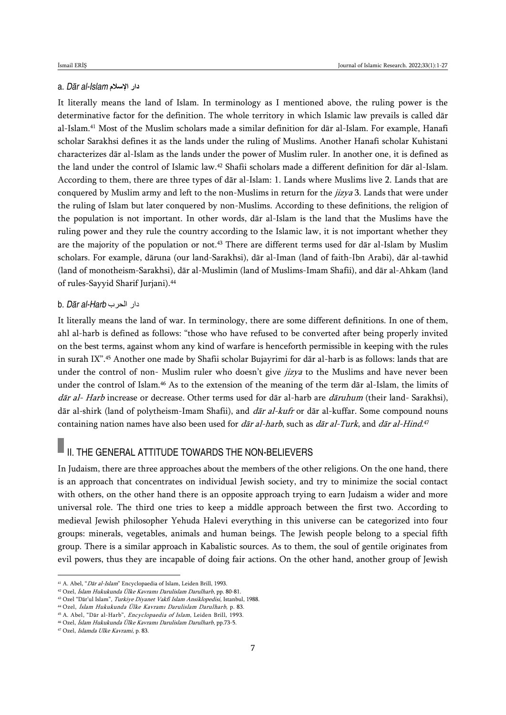### a. *Dār al-Islam* **اإلسالم دار**

It literally means the land of Islam. In terminology as I mentioned above, the ruling power is the determinative factor for the definition. The whole territory in which Islamic law prevails is called dār al-Islam.<sup>41</sup> Most of the Muslim scholars made a similar definition for dār al-Islam. For example, Hanafi scholar Sarakhsi defines it as the lands under the ruling of Muslims. Another Hanafi scholar Kuhistani characterizes dār al-Islam as the lands under the power of Muslim ruler. In another one, it is defined as the land under the control of Islamic law.<sup>42</sup> Shafii scholars made a different definition for dār al-Islam. According to them, there are three types of dār al-Islam: 1. Lands where Muslims live 2. Lands that are conquered by Muslim army and left to the non-Muslims in return for the *jizya* 3. Lands that were under the ruling of Islam but later conquered by non-Muslims. According to these definitions, the religion of the population is not important. In other words, dār al-Islam is the land that the Muslims have the ruling power and they rule the country according to the Islamic law, it is not important whether they are the majority of the population or not.<sup>43</sup> There are different terms used for dār al-Islam by Muslim scholars. For example, dāruna (our land-Sarakhsi), dār al-Iman (land of faith-Ibn Arabi), dār al-tawhid (land of monotheism-Sarakhsi), dār al-Muslimin (land of Muslims-Imam Shafii), and dār al-Ahkam (land of rules-Sayyid Sharif Jurjani).<sup>44</sup>

### b. *Dār al-Harb* الحرب دار

It literally means the land of war. In terminology, there are some different definitions. In one of them, ahl al-harb is defined as follows: "those who have refused to be converted after being properly invited on the best terms, against whom any kind of warfare is henceforth permissible in keeping with the rules in surah IX".<sup>45</sup> Another one made by Shafii scholar Bujayrimi for dār al-harb is as follows: lands that are under the control of non- Muslim ruler who doesn't give *jizya* to the Muslims and have never been under the control of Islam.<sup>46</sup> As to the extension of the meaning of the term dār al-Islam, the limits of dār al- Harb increase or decrease. Other terms used for dār al-harb are dāruhum (their land- Sarakhsi), dār al-shirk (land of polytheism-Imam Shafii), and  $d\bar{a}r$  al-kufr or dār al-kuffar. Some compound nouns containing nation names have also been used for *dār al-harb*, such as *dār al-Turk*, and *dār al-Hind*.<sup>47</sup>

# $\blacksquare$  II. THE GENERAL ATTITUDE TOWARDS THE NON-BELIEVERS

In Judaism, there are three approaches about the members of the other religions. On the one hand, there is an approach that concentrates on individual Jewish society, and try to minimize the social contact with others, on the other hand there is an opposite approach trying to earn Judaism a wider and more universal role. The third one tries to keep a middle approach between the first two. According to medieval Jewish philosopher Yehuda Halevi everything in this universe can be categorized into four groups: minerals, vegetables, animals and human beings. The Jewish people belong to a special fifth group. There is a similar approach in Kabalistic sources. As to them, the soul of gentile originates from evil powers, thus they are incapable of doing fair actions. On the other hand, another group of Jewish

<sup>41</sup> A. Abel, "Dār al-Islam" Encyclopaedia of Islam, Leiden Brill, 1993.

<sup>42</sup> Ozel, İslam Hukukunda Ülke Kavramı Darulislam Darulharb, pp. 80-81.

<sup>43</sup> Ozel "Dār'ul Islam", Turkiye Diyanet Vakfi Islam Ansiklopedisi, Istanbul, 1988.

<sup>44</sup> Ozel, İslam Hukukunda Ülke Kavramı Darulislam Darulharb, p. 83.

<sup>45</sup> A. Abel, "Dār al-Harb", Encyclopaedia of Islam, Leiden Brill, 1993. <sup>46</sup> Ozel, İslam Hukukunda Ülke Kavramı Darulislam Darulharb, pp.73-5.

<sup>47</sup> Ozel, Islamda Ulke Kavrami, p. 83.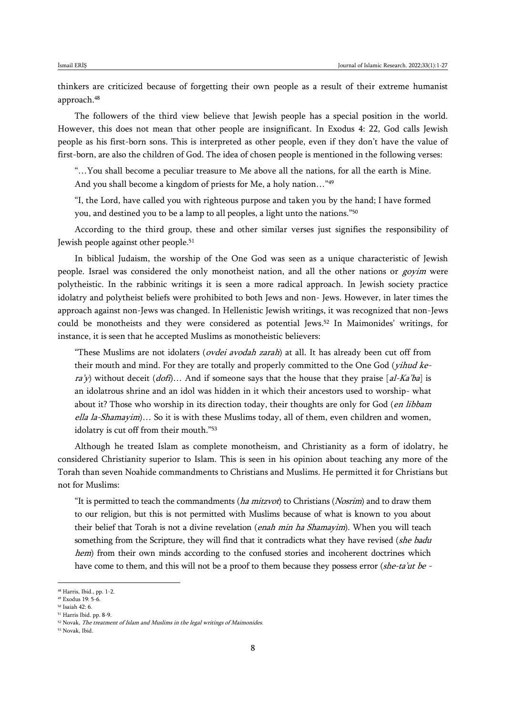thinkers are criticized because of forgetting their own people as a result of their extreme humanist approach.<sup>48</sup>

The followers of the third view believe that Jewish people has a special position in the world. However, this does not mean that other people are insignificant. In Exodus 4: 22, God calls Jewish people as his first-born sons. This is interpreted as other people, even if they don't have the value of first-born, are also the children of God. The idea of chosen people is mentioned in the following verses:

"…You shall become a peculiar treasure to Me above all the nations, for all the earth is Mine. And you shall become a kingdom of priests for Me, a holy nation…"<sup>49</sup>

"I, the Lord, have called you with righteous purpose and taken you by the hand; I have formed you, and destined you to be a lamp to all peoples, a light unto the nations."<sup>50</sup>

According to the third group, these and other similar verses just signifies the responsibility of Jewish people against other people.<sup>51</sup>

In biblical Judaism, the worship of the One God was seen as a unique characteristic of Jewish people. Israel was considered the only monotheist nation, and all the other nations or *goyim* were polytheistic. In the rabbinic writings it is seen a more radical approach. In Jewish society practice idolatry and polytheist beliefs were prohibited to both Jews and non- Jews. However, in later times the approach against non-Jews was changed. In Hellenistic Jewish writings, it was recognized that non-Jews could be monotheists and they were considered as potential Jews. <sup>52</sup> In Maimonides' writings, for instance, it is seen that he accepted Muslims as monotheistic believers:

"These Muslims are not idolaters (*ovdei avodah zarah*) at all. It has already been cut off from their mouth and mind. For they are totally and properly committed to the One God (*yihud ke* $ra'y$ ) without deceit (dof)... And if someone says that the house that they praise [al-Ka'ba] is an idolatrous shrine and an idol was hidden in it which their ancestors used to worship- what about it? Those who worship in its direction today, their thoughts are only for God (*en libbam* ella la-Shamayim)... So it is with these Muslims today, all of them, even children and women, idolatry is cut off from their mouth."<sup>53</sup>

Although he treated Islam as complete monotheism, and Christianity as a form of idolatry, he considered Christianity superior to Islam. This is seen in his opinion about teaching any more of the Torah than seven Noahide commandments to Christians and Muslims. He permitted it for Christians but not for Muslims:

"It is permitted to teach the commandments ( $ha$  mitzvot) to Christians (Nosrim) and to draw them to our religion, but this is not permitted with Muslims because of what is known to you about their belief that Torah is not a divine revelation (*enah min ha Shamayim*). When you will teach something from the Scripture, they will find that it contradicts what they have revised (she badu hem) from their own minds according to the confused stories and incoherent doctrines which have come to them, and this will not be a proof to them because they possess error (she-ta'ut be -

<sup>48</sup> Harris, Ibid., pp. 1-2.

<sup>49</sup> Exodus 19: 5-6.

<sup>50</sup> Isaiah 42: 6.

<sup>51</sup> Harris Ibid. pp. 8-9.

<sup>&</sup>lt;sup>52</sup> Novak, *The treatment of Islam and Muslims in the legal writings of Maimonides.* 

<sup>53</sup> Novak, Ibid.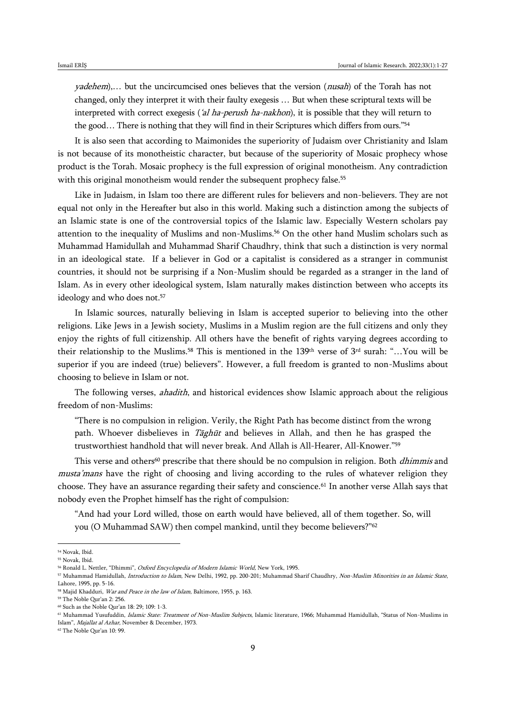yadehem),… but the uncircumcised ones believes that the version (nusah) of the Torah has not changed, only they interpret it with their faulty exegesis … But when these scriptural texts will be interpreted with correct exegesis ('al ha-perush ha-nakhon), it is possible that they will return to the good… There is nothing that they will find in their Scriptures which differs from ours."<sup>54</sup>

It is also seen that according to Maimonides the superiority of Judaism over Christianity and Islam is not because of its monotheistic character, but because of the superiority of Mosaic prophecy whose product is the Torah. Mosaic prophecy is the full expression of original monotheism. Any contradiction with this original monotheism would render the subsequent prophecy false.<sup>55</sup>

Like in Judaism, in Islam too there are different rules for believers and non-believers. They are not equal not only in the Hereafter but also in this world. Making such a distinction among the subjects of an Islamic state is one of the controversial topics of the Islamic law. Especially Western scholars pay attention to the inequality of Muslims and non-Muslims.<sup>56</sup> On the other hand Muslim scholars such as Muhammad Hamidullah and Muhammad Sharif Chaudhry, think that such a distinction is very normal in an ideological state. If a believer in God or a capitalist is considered as a stranger in communist countries, it should not be surprising if a Non-Muslim should be regarded as a stranger in the land of Islam. As in every other ideological system, Islam naturally makes distinction between who accepts its ideology and who does not.<sup>57</sup>

In Islamic sources, naturally believing in Islam is accepted superior to believing into the other religions. Like Jews in a Jewish society, Muslims in a Muslim region are the full citizens and only they enjoy the rights of full citizenship. All others have the benefit of rights varying degrees according to their relationship to the Muslims.<sup>58</sup> This is mentioned in the 139<sup>th</sup> verse of 3<sup>rd</sup> surah: "...You will be superior if you are indeed (true) believers". However, a full freedom is granted to non-Muslims about choosing to believe in Islam or not.

The following verses, *ahadith*, and historical evidences show Islamic approach about the religious freedom of non-Muslims:

"There is no compulsion in religion. Verily, the Right Path has become distinct from the wrong path. Whoever disbelieves in  $T\bar{a}gh\bar{u}t$  and believes in Allah, and then he has grasped the trustworthiest handhold that will never break. And Allah is All-Hearer, All-Knower."<sup>59</sup>

This verse and others<sup>60</sup> prescribe that there should be no compulsion in religion. Both *dhimmis* and musta'mans have the right of choosing and living according to the rules of whatever religion they choose. They have an assurance regarding their safety and conscience.<sup>61</sup> In another verse Allah says that nobody even the Prophet himself has the right of compulsion:

"And had your Lord willed, those on earth would have believed, all of them together. So, will you (O Muhammad SAW) then compel mankind, until they become believers?"<sup>62</sup>

<sup>54</sup> Novak, Ibid. <sup>55</sup> Novak, Ibid.

<sup>&</sup>lt;sup>56</sup> Ronald L. Nettler, "Dhimmi", *Oxford Encyclopedia of Modern Islamic World*, New York, 1995.

<sup>57</sup> Muhammad Hamidullah, Introduction to Islam, New Delhi, 1992, pp. 200-201; Muhammad Sharif Chaudhry, Non-Muslim Minorities in an Islamic State, Lahore, 1995, pp. 5-16.

<sup>&</sup>lt;sup>58</sup> Majid Khadduri, *War and Peace in the law of Islam*, Baltimore, 1955, p. 163.

<sup>59</sup> The Noble Qur'an 2: 256.

<sup>60</sup> Such as the Noble Qur'an 18: 29; 109: 1-3.

<sup>&</sup>lt;sup>61</sup> Muhammad Yusufuddin, Islamic State: Treatment of Non-Muslim Subjects, Islamic literature, 1966; Muhammad Hamidullah, "Status of Non-Muslims in Islam", Majallat al Azhar, November & December, 1973.

<sup>62</sup> The Noble Qur'an 10: 99.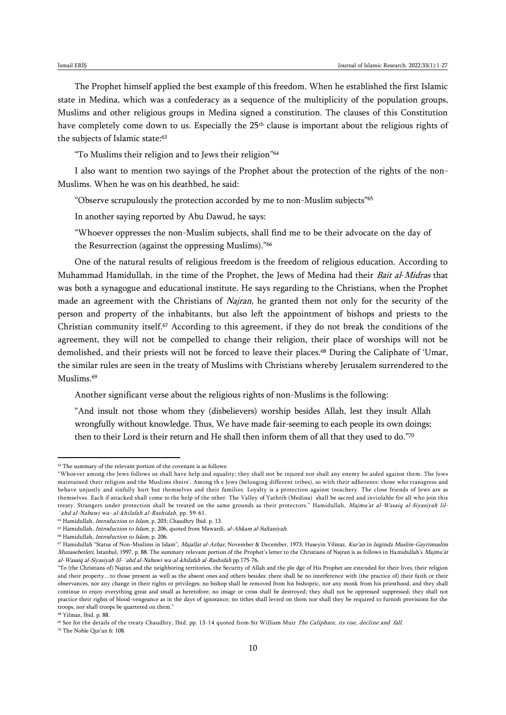The Prophet himself applied the best example of this freedom. When he established the first Islamic state in Medina, which was a confederacy as a sequence of the multiplicity of the population groups, Muslims and other religious groups in Medina signed a constitution. The clauses of this Constitution have completely come down to us. Especially the 25<sup>th</sup> clause is important about the religious rights of the subjects of Islamic state:<sup>63</sup>

"To Muslims their religion and to Jews their religion"<sup>64</sup>

I also want to mention two sayings of the Prophet about the protection of the rights of the non-Muslims. When he was on his deathbed, he said:

"Observe scrupulously the protection accorded by me to non-Muslim subjects"<sup>65</sup>

In another saying reported by Abu Dawud, he says:

"Whoever oppresses the non-Muslim subjects, shall find me to be their advocate on the day of the Resurrection (against the oppressing Muslims)."<sup>66</sup>

One of the natural results of religious freedom is the freedom of religious education. According to Muhammad Hamidullah, in the time of the Prophet, the Jews of Medina had their Bait al-Midras that was both a synagogue and educational institute. He says regarding to the Christians, when the Prophet made an agreement with the Christians of Najran, he granted them not only for the security of the person and property of the inhabitants, but also left the appointment of bishops and priests to the Christian community itself.<sup>67</sup> According to this agreement, if they do not break the conditions of the agreement, they will not be compelled to change their religion, their place of worships will not be demolished, and their priests will not be forced to leave their places.<sup>68</sup> During the Caliphate of 'Umar, the similar rules are seen in the treaty of Muslims with Christians whereby Jerusalem surrendered to the Muslims.<sup>69</sup>

Another significant verse about the religious rights of non-Muslims is the following:

"And insult not those whom they (disbelievers) worship besides Allah, lest they insult Allah wrongfully without knowledge. Thus, We have made fair-seeming to each people its own doings; then to their Lord is their return and He shall then inform them of all that they used to do."<sup>70</sup>

 $\overline{a}$ 

<sup>70</sup> The Noble Qur'an 6: 108.

 $^{63}$  The summary of the relevant portion of the covenant is as follows:

<sup>&</sup>quot;Whoever among the Jews follows us shall have help and equality; they shall not be injured nor shall any enemy be aided against them. The Jews maintained their religion and the Muslims theirs'. Among th e Jews (belonging different tribes), so with their adherents: those who transgress and behave unjustly and sinfully hurt but themselves and their families. Loyalty is a protection against treachery. The close friends of Jews are as themselves. Each if attacked shall come to the help of the other. The Valley of Yathrib (Medina) shall be sacred and inviolable for all who join this treaty. Strangers under protection shall be treated on the same grounds as their protectors." Hamidullah, Majmu'at al-Wasaiq al-Siyasiyah lil-`ahd al-Nabawi wa- al-khilafah al-Rashidah, pp. 59-61.

<sup>&</sup>lt;sup>64</sup> Hamidullah, *Introduction to Islam*, p. 203; Chaudhry Ibid. p. 13.

<sup>&</sup>lt;sup>65</sup> Hamidullah, *Introduction to Islam*, p. 206, quoted from Mawardi, al-Ahkam al-Sultaniyah.

<sup>66</sup> Hamidullah, Introduction to Islam, p. 206.

<sup>&</sup>lt;sup>67</sup> Hamidullah "Status of Non-Muslims in Islam", Majallat al-Azhar, November & December, 1973; Huseyin Yilmaz, Kur'an'in Isiginda Muslim-Gayrimuslim Munasebetleri, Istanbul, 1997, p. 88. The summary relevant portion of the Prophet's letter to the Christians of Najran is as follows in Hamidullah's Majmu'at al-Wasaiq al-Siyasiyah lil-`ahd al-Nabawi wa-al-khilafah al-Rashidah pp.175-76.

<sup>&</sup>quot;To (the Christians of) Najran and the neighboring territories, the Security of Allah and the ple dge of His Prophet are extended for their lives, their religion and their property…to those present as well as the absent ones and others besides: there shall be no interference with (the practice of) their faith or their observances, nor any change in their rights or privileges; no bishop shall be removed from his bishopric, nor any monk from his priesthood, and they shall continue to enjoy everything great and small as heretofore; no image or cross shall be destroyed; they shall not be oppressed suppressed; they shall not practice their rights of blood-vengeance as in the days of ignorance; no tithes shall levied on them nor shall they be required to furnish provisions for the troops, nor shall troops be quartered on them."

<sup>68</sup> Yilmaz, Ibid. p. 88.

<sup>&</sup>lt;sup>69</sup> See for the details of the treaty Chaudhry, Ibid. pp. 13-14 quoted from Sir William Muir The Caliphate, its rise, decline and fall.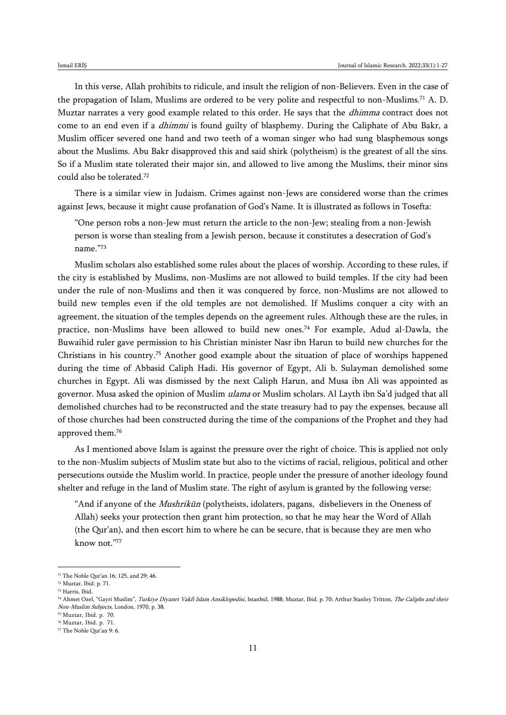In this verse, Allah prohibits to ridicule, and insult the religion of non-Believers. Even in the case of the propagation of Islam, Muslims are ordered to be very polite and respectful to non-Muslims.<sup>71</sup> A. D. Muztar narrates a very good example related to this order. He says that the *dhimma* contract does not come to an end even if a *dhimmi* is found guilty of blasphemy. During the Caliphate of Abu Bakr, a Muslim officer severed one hand and two teeth of a woman singer who had sung blasphemous songs about the Muslims. Abu Bakr disapproved this and said shirk (polytheism) is the greatest of all the sins. So if a Muslim state tolerated their major sin, and allowed to live among the Muslims, their minor sins could also be tolerated.<sup>72</sup>

There is a similar view in Judaism. Crimes against non-Jews are considered worse than the crimes against Jews, because it might cause profanation of God's Name. It is illustrated as follows in Tosefta:

"One person robs a non-Jew must return the article to the non-Jew; stealing from a non-Jewish person is worse than stealing from a Jewish person, because it constitutes a desecration of God's name."<sup>73</sup>

Muslim scholars also established some rules about the places of worship. According to these rules, if the city is established by Muslims, non-Muslims are not allowed to build temples. If the city had been under the rule of non-Muslims and then it was conquered by force, non-Muslims are not allowed to build new temples even if the old temples are not demolished. If Muslims conquer a city with an agreement, the situation of the temples depends on the agreement rules. Although these are the rules, in practice, non-Muslims have been allowed to build new ones.<sup>74</sup> For example, Adud al-Dawla, the Buwaihid ruler gave permission to his Christian minister Nasr ibn Harun to build new churches for the Christians in his country.<sup>75</sup> Another good example about the situation of place of worships happened during the time of Abbasid Caliph Hadi. His governor of Egypt, Ali b. Sulayman demolished some churches in Egypt. Ali was dismissed by the next Caliph Harun, and Musa ibn Ali was appointed as governor. Musa asked the opinion of Muslim *ulama* or Muslim scholars. Al Layth ibn Sa'd judged that all demolished churches had to be reconstructed and the state treasury had to pay the expenses, because all of those churches had been constructed during the time of the companions of the Prophet and they had approved them.<sup>76</sup>

As I mentioned above Islam is against the pressure over the right of choice. This is applied not only to the non-Muslim subjects of Muslim state but also to the victims of racial, religious, political and other persecutions outside the Muslim world. In practice, people under the pressure of another ideology found shelter and refuge in the land of Muslim state. The right of asylum is granted by the following verse:

"And if anyone of the *Mushrikūn* (polytheists, idolaters, pagans, disbelievers in the Oneness of Allah) seeks your protection then grant him protection, so that he may hear the Word of Allah (the Qur'an), and then escort him to where he can be secure, that is because they are men who know not."<sup>77</sup>

<sup>71</sup> The Noble Qur'an 16; 125, and 29; 46.

<sup>72</sup> Muztar, Ibid. p. 71. <sup>73</sup> Harris, Ibid.

<sup>74</sup> Ahmet Ozel, "Gayri Muslim", Turkiye Diyanet Vakfi Islam Ansiklopedisi, Istanbul, 1988; Muztar, Ibid. p. 70; Arthur Stanley Tritton, The Caliphs and their Non-Muslim Subjects, London, 1970, p. 38.

<sup>75</sup> Muztar, Ibid. p. 70. <sup>76</sup> Muztar, Ibid. p. 71.

<sup>77</sup> The Noble Qur'an 9: 6.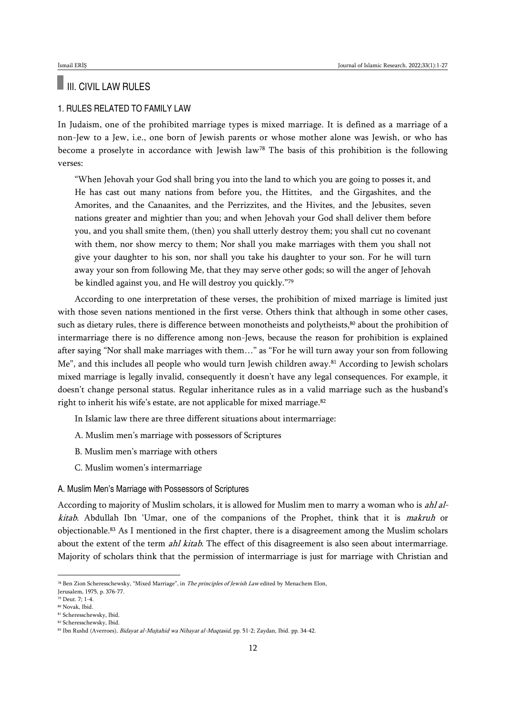# III. CIVIL LAW RULES

## 1. RULES RELATED TO FAMILY LAW

In Judaism, one of the prohibited marriage types is mixed marriage. It is defined as a marriage of a non-Jew to a Jew, i.e., one born of Jewish parents or whose mother alone was Jewish, or who has become a proselyte in accordance with Jewish law<sup>78</sup> The basis of this prohibition is the following verses:

"When Jehovah your God shall bring you into the land to which you are going to posses it, and He has cast out many nations from before you, the Hittites, and the Girgashites, and the Amorites, and the Canaanites, and the Perrizzites, and the Hivites, and the Jebusites, seven nations greater and mightier than you; and when Jehovah your God shall deliver them before you, and you shall smite them, (then) you shall utterly destroy them; you shall cut no covenant with them, nor show mercy to them; Nor shall you make marriages with them you shall not give your daughter to his son, nor shall you take his daughter to your son. For he will turn away your son from following Me, that they may serve other gods; so will the anger of Jehovah be kindled against you, and He will destroy you quickly."<sup>79</sup>

According to one interpretation of these verses, the prohibition of mixed marriage is limited just with those seven nations mentioned in the first verse. Others think that although in some other cases, such as dietary rules, there is difference between monotheists and polytheists,<sup>80</sup> about the prohibition of intermarriage there is no difference among non-Jews, because the reason for prohibition is explained after saying "Nor shall make marriages with them…" as "For he will turn away your son from following Me", and this includes all people who would turn Jewish children away.<sup>81</sup> According to Jewish scholars mixed marriage is legally invalid, consequently it doesn't have any legal consequences. For example, it doesn't change personal status. Regular inheritance rules as in a valid marriage such as the husband's right to inherit his wife's estate, are not applicable for mixed marriage.<sup>82</sup>

In Islamic law there are three different situations about intermarriage:

- A. Muslim men's marriage with possessors of Scriptures
- B. Muslim men's marriage with others
- C. Muslim women's intermarriage

### A. Muslim Men's Marriage with Possessors of Scriptures

According to majority of Muslim scholars, it is allowed for Muslim men to marry a woman who is ahl alkitab. Abdullah Ibn 'Umar, one of the companions of the Prophet, think that it is makruh or objectionable.<sup>83</sup> As I mentioned in the first chapter, there is a disagreement among the Muslim scholars about the extent of the term *ahl kitab*. The effect of this disagreement is also seen about intermarriage. Majority of scholars think that the permission of intermarriage is just for marriage with Christian and

<sup>78</sup> Ben Zion Scheresschewsky, "Mixed Marriage", in The principles of Jewish Law edited by Menachem Elon,

Jerusalem, 1975, p. 376-77.

<sup>79</sup> Deut. 7; 1-4.

<sup>80</sup> Novak, Ibid.

<sup>81</sup> Scheresschewsky, Ibid. <sup>82</sup> Scheresschewsky, Ibid.

<sup>83</sup> Ibn Rushd (Averroes), Bidayat al-Mujtahid wa Nihayat al-Muqtasid, pp. 51-2; Zaydan, Ibid. pp. 34-42.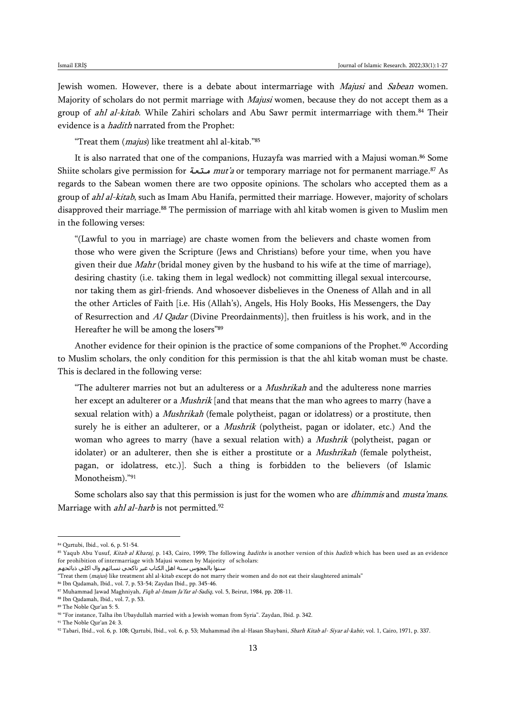Jewish women. However, there is a debate about intermarriage with Majusi and Sabean women. Majority of scholars do not permit marriage with *Majusi* women, because they do not accept them as a group of *ahl al-kitab*. While Zahiri scholars and Abu Sawr permit intermarriage with them.<sup>84</sup> Their evidence is a *hadith* narrated from the Prophet:

"Treat them (*majus*) like treatment ahl al-kitab."85

It is also narrated that one of the companions, Huzayfa was married with a Majusi woman.<sup>86</sup> Some Shiite scholars give permission for **متعة** mut'a or temporary marriage not for permanent marriage.<sup>87</sup> As regards to the Sabean women there are two opposite opinions. The scholars who accepted them as a group of ahl al-kitab, such as Imam Abu Hanifa, permitted their marriage. However, majority of scholars disapproved their marriage.<sup>88</sup> The permission of marriage with ahl kitab women is given to Muslim men in the following verses:

"(Lawful to you in marriage) are chaste women from the believers and chaste women from those who were given the Scripture (Jews and Christians) before your time, when you have given their due *Mahr* (bridal money given by the husband to his wife at the time of marriage), desiring chastity (i.e. taking them in legal wedlock) not committing illegal sexual intercourse, nor taking them as girl-friends. And whosoever disbelieves in the Oneness of Allah and in all the other Articles of Faith [i.e. His (Allah's), Angels, His Holy Books, His Messengers, the Day of Resurrection and Al Qadar (Divine Preordainments)], then fruitless is his work, and in the Hereafter he will be among the losers"<sup>89</sup>

Another evidence for their opinion is the practice of some companions of the Prophet.<sup>90</sup> According to Muslim scholars, the only condition for this permission is that the ahl kitab woman must be chaste. This is declared in the following verse:

"The adulterer marries not but an adulteress or a *Mushrikah* and the adulteress none marries her except an adulterer or a *Mushrik* [and that means that the man who agrees to marry (have a sexual relation with) a *Mushrikah* (female polytheist, pagan or idolatress) or a prostitute, then surely he is either an adulterer, or a *Mushrik* (polytheist, pagan or idolater, etc.) And the woman who agrees to marry (have a sexual relation with) a *Mushrik* (polytheist, pagan or idolater) or an adulterer, then she is either a prostitute or a *Mushrikah* (female polytheist, pagan, or idolatress, etc.)]. Such a thing is forbidden to the believers (of Islamic Monotheism)."<sup>91</sup>

Some scholars also say that this permission is just for the women who are *dhimmis* and *musta'mans*. Marriage with *ahl al-harb* is not permitted.<sup>92</sup>

<sup>84</sup> Qurtubi, Ibid., vol. 6, p. 51-54.

<sup>85</sup> Yaqub Abu Yusuf, Kitab al Kharaj, p. 143, Cairo, 1999; The following hadiths is another version of this hadith which has been used as an evidence for prohibition of intermarriage with Majusi women by Majority of scholars: سنوا بالمجوس سنة اهل الكتاب غير ناكحي نسائهم وال اكلي ذبائحهم

<sup>&</sup>quot;Treat them (*majus*) like treatment ahl al-kitab except do not marry their women and do not eat their slaughtered animals"

<sup>86</sup> Ibn Qudamah, Ibid., vol. 7, p. 53-54; Zaydan Ibid., pp. 345-46.

<sup>87</sup> Muhammad Jawad Maghniyah, Fiqh al-Imam Ja'far al-Sadiq, vol. 5, Beirut, 1984, pp. 208-11.

<sup>88</sup> Ibn Qudamah, Ibid., vol. 7, p. 53.

<sup>89</sup> The Noble Qur'an 5: 5.

<sup>90</sup> "For instance, Talha ibn Ubaydullah married with a Jewish woman from Syria". Zaydan, Ibid. p. 342.

<sup>91</sup> The Noble Qur'an 24: 3.

<sup>92</sup> Tabari, Ibid., vol. 6, p. 108; Qurtubi, Ibid., vol. 6, p. 53; Muhammad ibn al-Hasan Shaybani, Sharh Kitab al- Siyar al-kabir, vol. 1, Cairo, 1971, p. 337.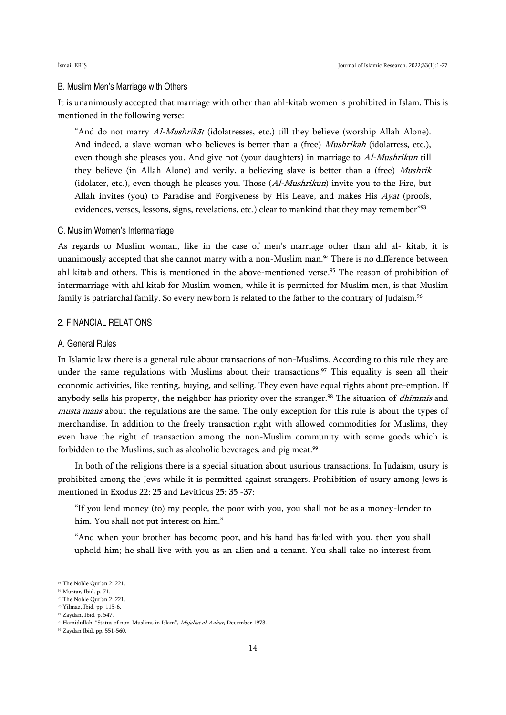#### B. Muslim Men's Marriage with Others

It is unanimously accepted that marriage with other than ahl-kitab women is prohibited in Islam. This is mentioned in the following verse:

"And do not marry Al-Mushrikāt (idolatresses, etc.) till they believe (worship Allah Alone). And indeed, a slave woman who believes is better than a (free) *Mushrikah* (idolatress, etc.), even though she pleases you. And give not (your daughters) in marriage to Al-Mushrikūn till they believe (in Allah Alone) and verily, a believing slave is better than a (free) Mushrik (idolater, etc.), even though he pleases you. Those  $(AI-Mushrikūn)$  invite you to the Fire, but Allah invites (you) to Paradise and Forgiveness by His Leave, and makes His  $Ay\bar{a}t$  (proofs, evidences, verses, lessons, signs, revelations, etc.) clear to mankind that they may remember"<sup>93</sup>

#### C. Muslim Women's Intermarriage

As regards to Muslim woman, like in the case of men's marriage other than ahl al- kitab, it is unanimously accepted that she cannot marry with a non-Muslim man.<sup>94</sup> There is no difference between ahl kitab and others. This is mentioned in the above-mentioned verse.<sup>95</sup> The reason of prohibition of intermarriage with ahl kitab for Muslim women, while it is permitted for Muslim men, is that Muslim family is patriarchal family. So every newborn is related to the father to the contrary of Judaism. 96

### 2. FINANCIAL RELATIONS

#### A. General Rules

In Islamic law there is a general rule about transactions of non-Muslims. According to this rule they are under the same regulations with Muslims about their transactions.<sup>97</sup> This equality is seen all their economic activities, like renting, buying, and selling. They even have equal rights about pre-emption. If anybody sells his property, the neighbor has priority over the stranger.<sup>98</sup> The situation of *dhimmis* and musta'mans about the regulations are the same. The only exception for this rule is about the types of merchandise. In addition to the freely transaction right with allowed commodities for Muslims, they even have the right of transaction among the non-Muslim community with some goods which is forbidden to the Muslims, such as alcoholic beverages, and pig meat.<sup>99</sup>

In both of the religions there is a special situation about usurious transactions. In Judaism, usury is prohibited among the Jews while it is permitted against strangers. Prohibition of usury among Jews is mentioned in Exodus 22: 25 and Leviticus 25: 35 -37:

"If you lend money (to) my people, the poor with you, you shall not be as a money-lender to him. You shall not put interest on him."

"And when your brother has become poor, and his hand has failed with you, then you shall uphold him; he shall live with you as an alien and a tenant. You shall take no interest from

<sup>93</sup> The Noble Qur'an 2: 221.

<sup>94</sup> Muztar, Ibid. p. 71.

<sup>95</sup> The Noble Qur'an 2: 221.

<sup>96</sup> Yilmaz, Ibid. pp. 115-6. <sup>97</sup> Zaydan, Ibid. p. 547.

<sup>98</sup> Hamidullah, "Status of non-Muslims in Islam", Majallat al-Azhar, December 1973.

<sup>99</sup> Zaydan Ibid. pp. 551-560.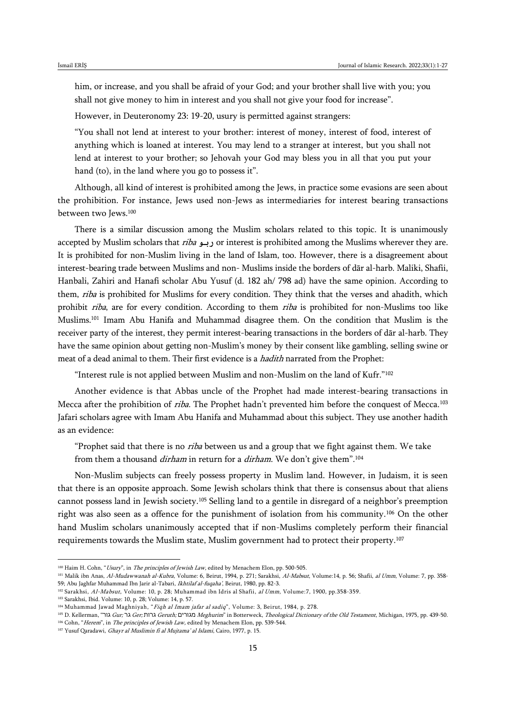him, or increase, and you shall be afraid of your God; and your brother shall live with you; you shall not give money to him in interest and you shall not give your food for increase".

However, in Deuteronomy 23: 19-20, usury is permitted against strangers:

"You shall not lend at interest to your brother: interest of money, interest of food, interest of anything which is loaned at interest. You may lend to a stranger at interest, but you shall not lend at interest to your brother; so Jehovah your God may bless you in all that you put your hand (to), in the land where you go to possess it".

Although, all kind of interest is prohibited among the Jews, in practice some evasions are seen about the prohibition. For instance, Jews used non-Jews as intermediaries for interest bearing transactions between two Jews.<sup>100</sup>

There is a similar discussion among the Muslim scholars related to this topic. It is unanimously accepted by Muslim scholars that riba **ربو** or interest is prohibited among the Muslims wherever they are. It is prohibited for non-Muslim living in the land of Islam, too. However, there is a disagreement about interest-bearing trade between Muslims and non- Muslims inside the borders of dār al-harb. Maliki, Shafii, Hanbali, Zahiri and Hanafi scholar Abu Yusuf (d. 182 ah/ 798 ad) have the same opinion. According to them, riba is prohibited for Muslims for every condition. They think that the verses and ahadith, which prohibit *riba*, are for every condition. According to them *riba* is prohibited for non-Muslims too like Muslims.<sup>101</sup> Imam Abu Hanifa and Muhammad disagree them. On the condition that Muslim is the receiver party of the interest, they permit interest-bearing transactions in the borders of dār al-harb. They have the same opinion about getting non-Muslim's money by their consent like gambling, selling swine or meat of a dead animal to them. Their first evidence is a *hadith* narrated from the Prophet:

"Interest rule is not applied between Muslim and non-Muslim on the land of Kufr."<sup>102</sup>

Another evidence is that Abbas uncle of the Prophet had made interest-bearing transactions in Mecca after the prohibition of riba. The Prophet hadn't prevented him before the conquest of Mecca.<sup>103</sup> Jafari scholars agree with Imam Abu Hanifa and Muhammad about this subject. They use another hadith as an evidence:

"Prophet said that there is no *riba* between us and a group that we fight against them. We take from them a thousand *dirham* in return for a *dirham*. We don't give them".<sup>104</sup>

Non-Muslim subjects can freely possess property in Muslim land. However, in Judaism, it is seen that there is an opposite approach. Some Jewish scholars think that there is consensus about that aliens cannot possess land in Jewish society.<sup>105</sup> Selling land to a gentile in disregard of a neighbor's preemption right was also seen as a offence for the punishment of isolation from his community.<sup>106</sup> On the other hand Muslim scholars unanimously accepted that if non-Muslims completely perform their financial requirements towards the Muslim state, Muslim government had to protect their property.<sup>107</sup>

<sup>100</sup> Haim H. Cohn, "Usury", in The principles of Jewish Law, edited by Menachem Elon, pp. 500-505.

<sup>101</sup> Malik ibn Anas, Al-Mudawwanah al-Kubra, Volume: 6, Beirut, 1994, p. 271; Sarakhsi, Al-Mabsut, Volume: 14, p. 56; Shafii, al Umm, Volume: 7, pp. 358-59; Abu Jaghfar Muhammad Ibn Jarir al-Tabari, Ikhtilaf al-fuqaha', Beirut, 1980, pp. 82-3.

<sup>102</sup> Sarakhsi, Al-Mabsut, Volume: 10, p. 28; Muhammad ibn Idris al Shafii, al Umm, Volume:7, 1900, pp.358-359.

<sup>103</sup> Sarakhsi, Ibid. Volume: 10, p. 28; Volume: 14, p. 57.

<sup>104</sup> Muhammad Jawad Maghniyah, "Fiqh al Imam jafar al sadiq", Volume: 3, Beirut, 1984, p. 278.

<sup>&</sup>lt;sup>105</sup> D. Kellerman, "הות Gerr; גרות Geruth; מגורים Meghurim" in Botterweck, Theological Dictionary of the Old Testament, Michigan, 1975, pp. 439-50. <sup>106</sup> Cohn, "Herem", in The principles of Jewish Law, edited by Menachem Elon, pp. 539-544.

<sup>107</sup> Yusuf Qaradawi, Ghayr al Muslimin fi al Mujtama' al Islami, Cairo, 1977, p. 15.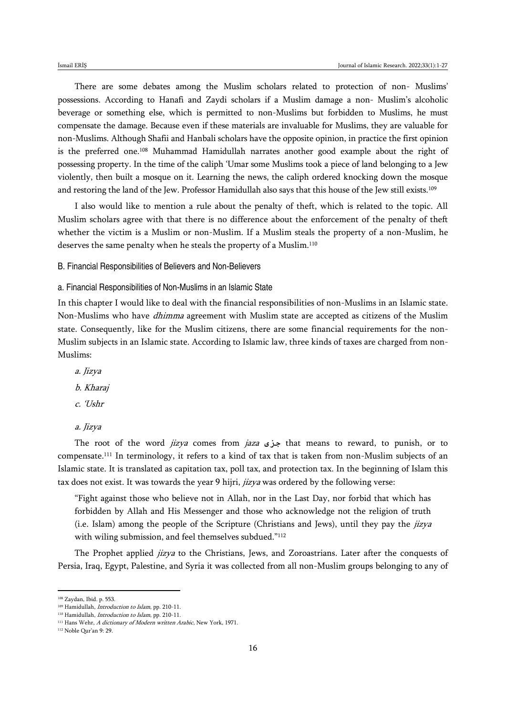There are some debates among the Muslim scholars related to protection of non- Muslims' possessions. According to Hanafi and Zaydi scholars if a Muslim damage a non- Muslim's alcoholic beverage or something else, which is permitted to non-Muslims but forbidden to Muslims, he must compensate the damage. Because even if these materials are invaluable for Muslims, they are valuable for non-Muslims. Although Shafii and Hanbali scholars have the opposite opinion, in practice the first opinion is the preferred one.<sup>108</sup> Muhammad Hamidullah narrates another good example about the right of possessing property. In the time of the caliph 'Umar some Muslims took a piece of land belonging to a Jew violently, then built a mosque on it. Learning the news, the caliph ordered knocking down the mosque and restoring the land of the Jew. Professor Hamidullah also says that this house of the Jew still exists.<sup>109</sup>

I also would like to mention a rule about the penalty of theft, which is related to the topic. All Muslim scholars agree with that there is no difference about the enforcement of the penalty of theft whether the victim is a Muslim or non-Muslim. If a Muslim steals the property of a non-Muslim, he deserves the same penalty when he steals the property of a Muslim.<sup>110</sup>

B. Financial Responsibilities of Believers and Non-Believers

a. Financial Responsibilities of Non-Muslims in an Islamic State

In this chapter I would like to deal with the financial responsibilities of non-Muslims in an Islamic state. Non-Muslims who have dhimma agreement with Muslim state are accepted as citizens of the Muslim state. Consequently, like for the Muslim citizens, there are some financial requirements for the non-Muslim subjects in an Islamic state. According to Islamic law, three kinds of taxes are charged from non-Muslims:

- a. Jizya b. Kharaj c. 'Ushr
- a. Jizya

The root of the word jizya comes from jaza **جزى** that means to reward, to punish, or to compensate.<sup>111</sup> In terminology, it refers to a kind of tax that is taken from non-Muslim subjects of an Islamic state. It is translated as capitation tax, poll tax, and protection tax. In the beginning of Islam this tax does not exist. It was towards the year 9 hijri, *jizya* was ordered by the following verse:

"Fight against those who believe not in Allah, nor in the Last Day, nor forbid that which has forbidden by Allah and His Messenger and those who acknowledge not the religion of truth (i.e. Islam) among the people of the Scripture (Christians and Jews), until they pay the  $jizya$ with wiling submission, and feel themselves subdued."<sup>112</sup>

The Prophet applied jizya to the Christians, Jews, and Zoroastrians. Later after the conquests of Persia, Iraq, Egypt, Palestine, and Syria it was collected from all non-Muslim groups belonging to any of

<sup>108</sup> Zaydan, Ibid. p. 553.

<sup>109</sup> Hamidullah, *Introduction to Islam*, pp. 210-11.

<sup>110</sup> Hamidullah, *Introduction to Islam*, pp. 210-11.

<sup>&</sup>lt;sup>111</sup> Hans Wehr, A dictionary of Modern written Arabic, New York, 1971.

<sup>112</sup> Noble Qur'an 9: 29.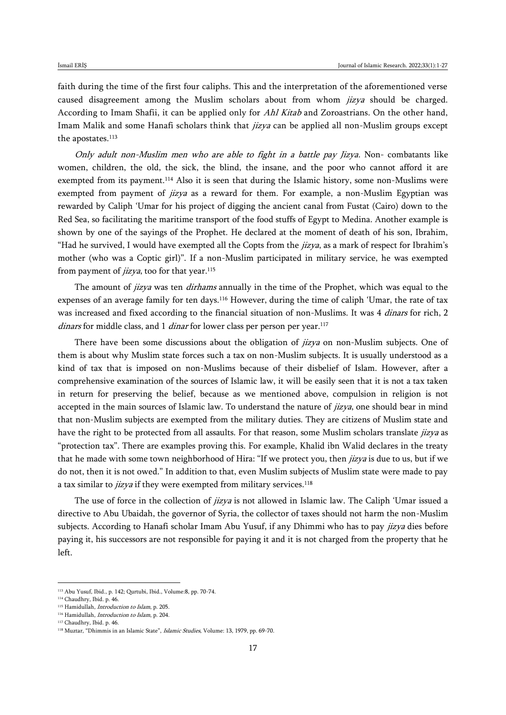faith during the time of the first four caliphs. This and the interpretation of the aforementioned verse caused disagreement among the Muslim scholars about from whom *jizya* should be charged. According to Imam Shafii, it can be applied only for Ahl Kitab and Zoroastrians. On the other hand, Imam Malik and some Hanafi scholars think that jizya can be applied all non-Muslim groups except the apostates.<sup>113</sup>

Only adult non-Muslim men who are able to fight in a battle pay Jizya. Non- combatants like women, children, the old, the sick, the blind, the insane, and the poor who cannot afford it are exempted from its payment.<sup>114</sup> Also it is seen that during the Islamic history, some non-Muslims were exempted from payment of *jizya* as a reward for them. For example, a non-Muslim Egyptian was rewarded by Caliph 'Umar for his project of digging the ancient canal from Fustat (Cairo) down to the Red Sea, so facilitating the maritime transport of the food stuffs of Egypt to Medina. Another example is shown by one of the sayings of the Prophet. He declared at the moment of death of his son, Ibrahim, "Had he survived, I would have exempted all the Copts from the  $jizya$ , as a mark of respect for Ibrahim's mother (who was a Coptic girl)". If a non-Muslim participated in military service, he was exempted from payment of *jizya*, too for that year.<sup>115</sup>

The amount of *jizya* was ten *dirhams* annually in the time of the Prophet, which was equal to the expenses of an average family for ten days.<sup>116</sup> However, during the time of caliph 'Umar, the rate of tax was increased and fixed according to the financial situation of non-Muslims. It was 4 *dinars* for rich, 2 dinars for middle class, and 1 dinar for lower class per person per year.<sup>117</sup>

There have been some discussions about the obligation of *jizya* on non-Muslim subjects. One of them is about why Muslim state forces such a tax on non-Muslim subjects. It is usually understood as a kind of tax that is imposed on non-Muslims because of their disbelief of Islam. However, after a comprehensive examination of the sources of Islamic law, it will be easily seen that it is not a tax taken in return for preserving the belief, because as we mentioned above, compulsion in religion is not accepted in the main sources of Islamic law. To understand the nature of *jizya*, one should bear in mind that non-Muslim subjects are exempted from the military duties. They are citizens of Muslim state and have the right to be protected from all assaults. For that reason, some Muslim scholars translate jizya as "protection tax". There are examples proving this. For example, Khalid ibn Walid declares in the treaty that he made with some town neighborhood of Hira: "If we protect you, then *jizya* is due to us, but if we do not, then it is not owed." In addition to that, even Muslim subjects of Muslim state were made to pay a tax similar to *jizya* if they were exempted from military services.<sup>118</sup>

The use of force in the collection of *jizya* is not allowed in Islamic law. The Caliph 'Umar issued a directive to Abu Ubaidah, the governor of Syria, the collector of taxes should not harm the non-Muslim subjects. According to Hanafi scholar Imam Abu Yusuf, if any Dhimmi who has to pay *jizya* dies before paying it, his successors are not responsible for paying it and it is not charged from the property that he left.

<sup>113</sup> Abu Yusuf, Ibid., p. 142; Qurtubi, Ibid., Volume:8, pp. 70-74.

<sup>114</sup> Chaudhry, Ibid. p. 46.

<sup>115</sup> Hamidullah, Introduction to Islam, p. 205.

<sup>116</sup> Hamidullah, Introduction to Islam, p. 204.

<sup>117</sup> Chaudhry, Ibid. p. 46.

<sup>&</sup>lt;sup>118</sup> Muztar, "Dhimmis in an Islamic State", *Islamic Studies*, Volume: 13, 1979, pp. 69-70.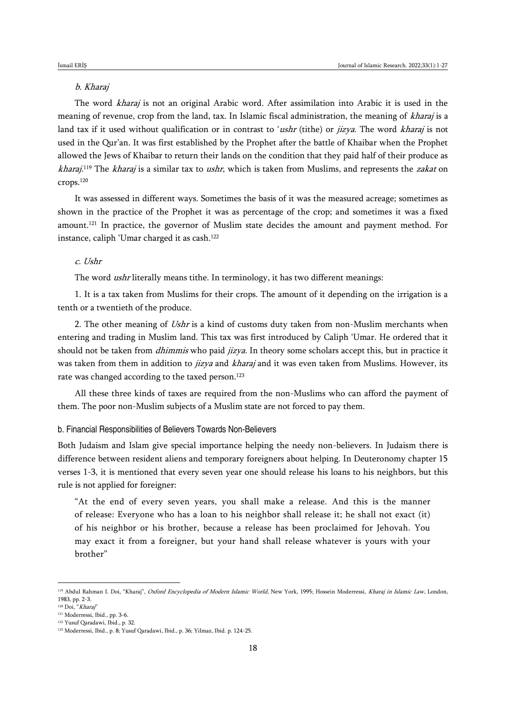## b. Kharaj

The word kharaj is not an original Arabic word. After assimilation into Arabic it is used in the meaning of revenue, crop from the land, tax. In Islamic fiscal administration, the meaning of kharaj is a land tax if it used without qualification or in contrast to 'ushr (tithe) or jizya. The word kharaj is not used in the Qur'an. It was first established by the Prophet after the battle of Khaibar when the Prophet allowed the Jews of Khaibar to return their lands on the condition that they paid half of their produce as *kharaj*.<sup>119</sup> The *kharaj* is a similar tax to *ushr*, which is taken from Muslims, and represents the *zakat* on crops.<sup>120</sup>

It was assessed in different ways. Sometimes the basis of it was the measured acreage; sometimes as shown in the practice of the Prophet it was as percentage of the crop; and sometimes it was a fixed amount.<sup>121</sup> In practice, the governor of Muslim state decides the amount and payment method. For instance, caliph 'Umar charged it as cash.<sup>122</sup>

### c. Ushr

The word *ushr* literally means tithe. In terminology, it has two different meanings:

1. It is a tax taken from Muslims for their crops. The amount of it depending on the irrigation is a tenth or a twentieth of the produce.

2. The other meaning of Ushr is a kind of customs duty taken from non-Muslim merchants when entering and trading in Muslim land. This tax was first introduced by Caliph 'Umar. He ordered that it should not be taken from *dhimmis* who paid *jizya*. In theory some scholars accept this, but in practice it was taken from them in addition to *jizya* and *kharaj* and it was even taken from Muslims. However, its rate was changed according to the taxed person.<sup>123</sup>

All these three kinds of taxes are required from the non-Muslims who can afford the payment of them. The poor non-Muslim subjects of a Muslim state are not forced to pay them.

#### b. Financial Responsibilities of Believers Towards Non-Believers

Both Judaism and Islam give special importance helping the needy non-believers. In Judaism there is difference between resident aliens and temporary foreigners about helping. In Deuteronomy chapter 15 verses 1-3, it is mentioned that every seven year one should release his loans to his neighbors, but this rule is not applied for foreigner:

"At the end of every seven years, you shall make a release. And this is the manner of release: Everyone who has a loan to his neighbor shall release it; he shall not exact (it) of his neighbor or his brother, because a release has been proclaimed for Jehovah. You may exact it from a foreigner, but your hand shall release whatever is yours with your brother"

<sup>&</sup>lt;sup>119</sup> Abdul Rahman I. Doi, "Kharaj", Oxford Encyclopedia of Modern Islamic World, New York, 1995; Hossein Moderressi, Kharaj in Islamic Law, London, 1983, pp. 2-3.

<sup>&</sup>lt;sup>120</sup> Doi, "Kharaj"

<sup>121</sup> Moderressi, Ibid., pp. 3-6.

<sup>122</sup> Yusuf Qaradawi, Ibid., p. 32.

<sup>123</sup> Moderressi, Ibid., p. 8; Yusuf Qaradawi, Ibid., p. 36; Yilmaz, Ibid. p. 124-25.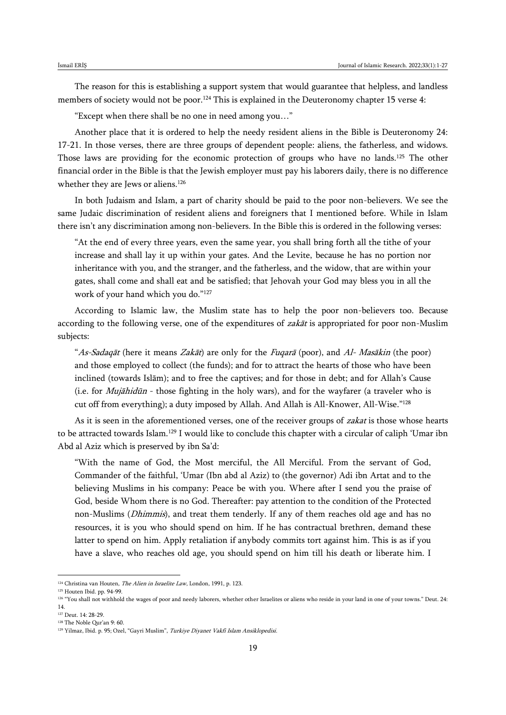The reason for this is establishing a support system that would guarantee that helpless, and landless members of society would not be poor.<sup>124</sup> This is explained in the Deuteronomy chapter 15 verse 4:

"Except when there shall be no one in need among you…"

Another place that it is ordered to help the needy resident aliens in the Bible is Deuteronomy 24: 17-21. In those verses, there are three groups of dependent people: aliens, the fatherless, and widows. Those laws are providing for the economic protection of groups who have no lands.<sup>125</sup> The other financial order in the Bible is that the Jewish employer must pay his laborers daily, there is no difference whether they are Jews or aliens.<sup>126</sup>

In both Judaism and Islam, a part of charity should be paid to the poor non-believers. We see the same Judaic discrimination of resident aliens and foreigners that I mentioned before. While in Islam there isn't any discrimination among non-believers. In the Bible this is ordered in the following verses:

"At the end of every three years, even the same year, you shall bring forth all the tithe of your increase and shall lay it up within your gates. And the Levite, because he has no portion nor inheritance with you, and the stranger, and the fatherless, and the widow, that are within your gates, shall come and shall eat and be satisfied; that Jehovah your God may bless you in all the work of your hand which you do."<sup>127</sup>

According to Islamic law, the Muslim state has to help the poor non-believers too. Because according to the following verse, one of the expenditures of zakāt is appropriated for poor non-Muslim subjects:

"As-Sadaqāt (here it means Zakāt) are only for the Fuqarā (poor), and Al- Masākin (the poor) and those employed to collect (the funds); and for to attract the hearts of those who have been inclined (towards Islām); and to free the captives; and for those in debt; and for Allah's Cause (i.e. for Mujāhidūn - those fighting in the holy wars), and for the wayfarer (a traveler who is cut off from everything); a duty imposed by Allah. And Allah is All-Knower, All-Wise."<sup>128</sup>

As it is seen in the aforementioned verses, one of the receiver groups of zakat is those whose hearts to be attracted towards Islam.<sup>129</sup> I would like to conclude this chapter with a circular of caliph 'Umar ibn Abd al Aziz which is preserved by ibn Sa'd:

"With the name of God, the Most merciful, the All Merciful. From the servant of God, Commander of the faithful, 'Umar (Ibn abd al Aziz) to (the governor) Adi ibn Artat and to the believing Muslims in his company: Peace be with you. Where after I send you the praise of God, beside Whom there is no God. Thereafter: pay attention to the condition of the Protected non-Muslims (Dhimmis), and treat them tenderly. If any of them reaches old age and has no resources, it is you who should spend on him. If he has contractual brethren, demand these latter to spend on him. Apply retaliation if anybody commits tort against him. This is as if you have a slave, who reaches old age, you should spend on him till his death or liberate him. I

<sup>&</sup>lt;sup>124</sup> Christina van Houten, *The Alien in Israelite Law*, London, 1991, p. 123.

<sup>125</sup> Houten Ibid. pp. 94-99.

<sup>126</sup> "You shall not withhold the wages of poor and needy laborers, whether other Israelites or aliens who reside in your land in one of your towns." Deut. 24: 14.

<sup>127</sup> Deut. 14: 28-29.

<sup>128</sup> The Noble Qur'an 9: 60.

<sup>&</sup>lt;sup>129</sup> Yilmaz, Ibid. p. 95; Ozel, "Gayri Muslim", Turkiye Diyanet Vakfi Islam Ansiklopedisi.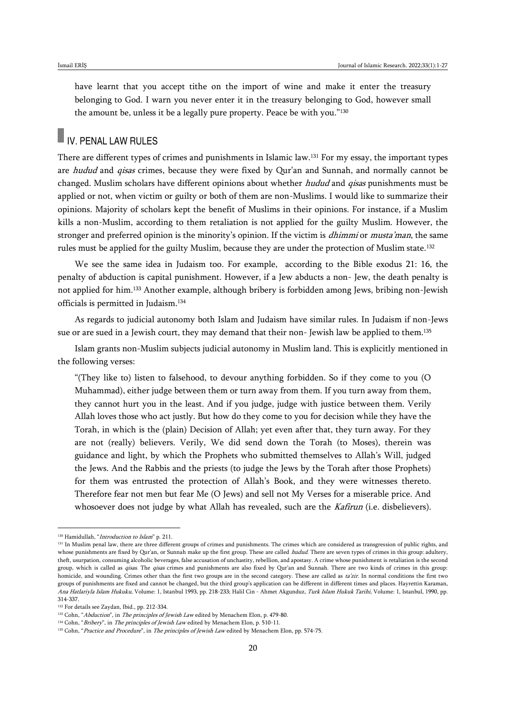have learnt that you accept tithe on the import of wine and make it enter the treasury belonging to God. I warn you never enter it in the treasury belonging to God, however small the amount be, unless it be a legally pure property. Peace be with you."<sup>130</sup>

# IV. PENAL LAW RULES

There are different types of crimes and punishments in Islamic law.<sup>131</sup> For my essay, the important types are *hudud* and *qisas* crimes, because they were fixed by Qur'an and Sunnah, and normally cannot be changed. Muslim scholars have different opinions about whether *hudud* and *qisas* punishments must be applied or not, when victim or guilty or both of them are non-Muslims. I would like to summarize their opinions. Majority of scholars kept the benefit of Muslims in their opinions. For instance, if a Muslim kills a non-Muslim, according to them retaliation is not applied for the guilty Muslim. However, the stronger and preferred opinion is the minority's opinion. If the victim is *dhimmi* or *musta'man*, the same rules must be applied for the guilty Muslim, because they are under the protection of Muslim state.<sup>132</sup>

We see the same idea in Judaism too. For example, according to the Bible exodus 21: 16, the penalty of abduction is capital punishment. However, if a Jew abducts a non- Jew, the death penalty is not applied for him.<sup>133</sup> Another example, although bribery is forbidden among Jews, bribing non-Jewish officials is permitted in Judaism.<sup>134</sup>

As regards to judicial autonomy both Islam and Judaism have similar rules. In Judaism if non-Jews sue or are sued in a Jewish court, they may demand that their non-Jewish law be applied to them.<sup>135</sup>

Islam grants non-Muslim subjects judicial autonomy in Muslim land. This is explicitly mentioned in the following verses:

"(They like to) listen to falsehood, to devour anything forbidden. So if they come to you (O Muhammad), either judge between them or turn away from them. If you turn away from them, they cannot hurt you in the least. And if you judge, judge with justice between them. Verily Allah loves those who act justly. But how do they come to you for decision while they have the Torah, in which is the (plain) Decision of Allah; yet even after that, they turn away. For they are not (really) believers. Verily, We did send down the Torah (to Moses), therein was guidance and light, by which the Prophets who submitted themselves to Allah's Will, judged the Jews. And the Rabbis and the priests (to judge the Jews by the Torah after those Prophets) for them was entrusted the protection of Allah's Book, and they were witnesses thereto. Therefore fear not men but fear Me (O Jews) and sell not My Verses for a miserable price. And whosoever does not judge by what Allah has revealed, such are the *Kafirun* (i.e. disbelievers).

<sup>130</sup> Hamidullah, "Introduction to Islam" p. 211.

<sup>&</sup>lt;sup>131</sup> In Muslim penal law, there are three different groups of crimes and punishments. The crimes which are considered as transgression of public rights, and whose punishments are fixed by Qur'an, or Sunnah make up the first group. These are called *hudud*. There are seven types of crimes in this group: adultery, theft, usurpation, consuming alcoholic beverages, false accusation of unchastity, rebellion, and apostasy. A crime whose punishment is retaliation is the second group, which is called as *qisas*. The *qisas* crimes and punishments are also fixed by Qur'an and Sunnah. There are two kinds of crimes in this group: homicide, and wounding. Crimes other than the first two groups are in the second category. These are called as ta'zir. In normal conditions the first two groups of punishments are fixed and cannot be changed, but the third group's application can be different in different times and places. Hayrettin Karaman, Ana Hatlariyla Islam Hukuku, Volume: 1, Istanbul 1993, pp. 218-233; Halil Cin - Ahmet Akgunduz, Turk Islam Hukuk Tarihi, Volume: 1, Istanbul, 1990, pp. 314-337.

<sup>132</sup> For details see Zaydan, Ibid., pp. 212-334.

<sup>133</sup> Cohn, "Abduction", in The principles of Jewish Law edited by Menachem Elon, p. 479-80.

<sup>&</sup>lt;sup>134</sup> Cohn, "Bribery", in *The principles of Jewish Law* edited by Menachem Elon, p. 510-11.

<sup>&</sup>lt;sup>135</sup> Cohn, "Practice and Procedure", in The principles of Jewish Law edited by Menachem Elon, pp. 574-75.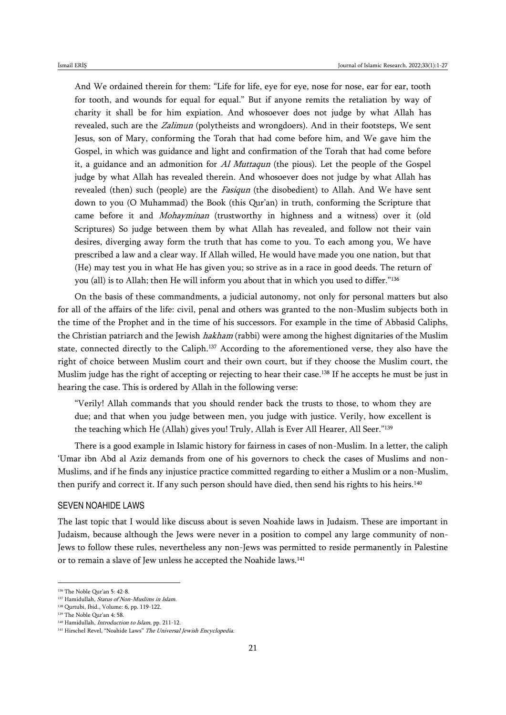And We ordained therein for them: "Life for life, eye for eye, nose for nose, ear for ear, tooth for tooth, and wounds for equal for equal." But if anyone remits the retaliation by way of charity it shall be for him expiation. And whosoever does not judge by what Allah has revealed, such are the Zalimun (polytheists and wrongdoers). And in their footsteps, We sent Jesus, son of Mary, conforming the Torah that had come before him, and We gave him the Gospel, in which was guidance and light and confirmation of the Torah that had come before it, a guidance and an admonition for  $AI$  Muttaqun (the pious). Let the people of the Gospel judge by what Allah has revealed therein. And whosoever does not judge by what Allah has revealed (then) such (people) are the *Fasiqun* (the disobedient) to Allah. And We have sent down to you (O Muhammad) the Book (this Qur'an) in truth, conforming the Scripture that came before it and *Mohayminan* (trustworthy in highness and a witness) over it (old Scriptures) So judge between them by what Allah has revealed, and follow not their vain desires, diverging away form the truth that has come to you. To each among you, We have prescribed a law and a clear way. If Allah willed, He would have made you one nation, but that (He) may test you in what He has given you; so strive as in a race in good deeds. The return of you (all) is to Allah; then He will inform you about that in which you used to differ."<sup>136</sup>

On the basis of these commandments, a judicial autonomy, not only for personal matters but also for all of the affairs of the life: civil, penal and others was granted to the non-Muslim subjects both in the time of the Prophet and in the time of his successors. For example in the time of Abbasid Caliphs, the Christian patriarch and the Jewish *hakham* (rabbi) were among the highest dignitaries of the Muslim state, connected directly to the Caliph.<sup>137</sup> According to the aforementioned verse, they also have the right of choice between Muslim court and their own court, but if they choose the Muslim court, the Muslim judge has the right of accepting or rejecting to hear their case.<sup>138</sup> If he accepts he must be just in hearing the case. This is ordered by Allah in the following verse:

"Verily! Allah commands that you should render back the trusts to those, to whom they are due; and that when you judge between men, you judge with justice. Verily, how excellent is the teaching which He (Allah) gives you! Truly, Allah is Ever All Hearer, All Seer."<sup>139</sup>

There is a good example in Islamic history for fairness in cases of non-Muslim. In a letter, the caliph 'Umar ibn Abd al Aziz demands from one of his governors to check the cases of Muslims and non-Muslims, and if he finds any injustice practice committed regarding to either a Muslim or a non-Muslim, then purify and correct it. If any such person should have died, then send his rights to his heirs.<sup>140</sup>

### SEVEN NOAHIDE LAWS

The last topic that I would like discuss about is seven Noahide laws in Judaism. These are important in Judaism, because although the Jews were never in a position to compel any large community of non-Jews to follow these rules, nevertheless any non-Jews was permitted to reside permanently in Palestine or to remain a slave of Jew unless he accepted the Noahide laws.<sup>141</sup>

<sup>136</sup> The Noble Qur'an 5: 42-8.

<sup>&</sup>lt;sup>137</sup> Hamidullah, *Status of Non-Muslims in Islam*.

<sup>138</sup> Qurtubi, Ibid., Volume: 6, pp. 119-122.

<sup>139</sup> The Noble Qur'an 4: 58.

<sup>&</sup>lt;sup>140</sup> Hamidullah, *Introduction to Islam*, pp. 211-12.

<sup>141</sup> Hirschel Revel, "Noahide Laws" The Universal Jewish Encyclopedia.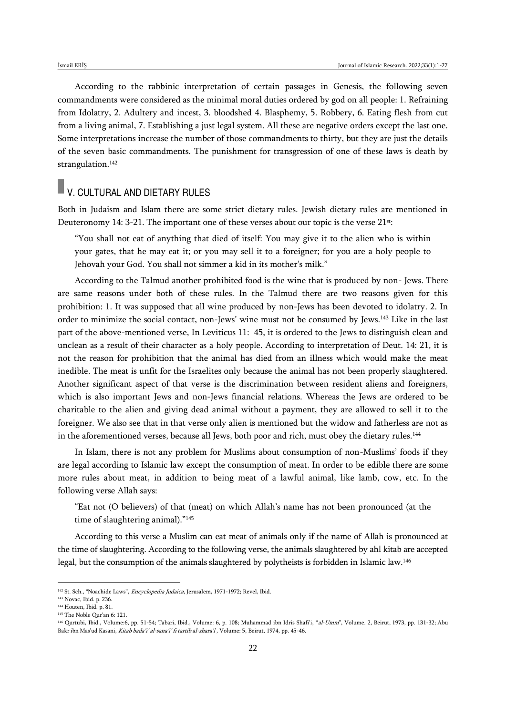According to the rabbinic interpretation of certain passages in Genesis, the following seven commandments were considered as the minimal moral duties ordered by god on all people: 1. Refraining from Idolatry, 2. Adultery and incest, 3. bloodshed 4. Blasphemy, 5. Robbery, 6. Eating flesh from cut from a living animal, 7. Establishing a just legal system. All these are negative orders except the last one. Some interpretations increase the number of those commandments to thirty, but they are just the details of the seven basic commandments. The punishment for transgression of one of these laws is death by strangulation.<sup>142</sup>

# **V. CULTURAL AND DIETARY RULES**

Both in Judaism and Islam there are some strict dietary rules. Jewish dietary rules are mentioned in Deuteronomy 14: 3-21. The important one of these verses about our topic is the verse 21st:

"You shall not eat of anything that died of itself: You may give it to the alien who is within your gates, that he may eat it; or you may sell it to a foreigner; for you are a holy people to Jehovah your God. You shall not simmer a kid in its mother's milk."

According to the Talmud another prohibited food is the wine that is produced by non- Jews. There are same reasons under both of these rules. In the Talmud there are two reasons given for this prohibition: 1. It was supposed that all wine produced by non-Jews has been devoted to idolatry. 2. In order to minimize the social contact, non-Jews' wine must not be consumed by Jews.<sup>143</sup> Like in the last part of the above-mentioned verse, In Leviticus 11: 45, it is ordered to the Jews to distinguish clean and unclean as a result of their character as a holy people. According to interpretation of Deut. 14: 21, it is not the reason for prohibition that the animal has died from an illness which would make the meat inedible. The meat is unfit for the Israelites only because the animal has not been properly slaughtered. Another significant aspect of that verse is the discrimination between resident aliens and foreigners, which is also important Jews and non-Jews financial relations. Whereas the Jews are ordered to be charitable to the alien and giving dead animal without a payment, they are allowed to sell it to the foreigner. We also see that in that verse only alien is mentioned but the widow and fatherless are not as in the aforementioned verses, because all Jews, both poor and rich, must obey the dietary rules.<sup>144</sup>

In Islam, there is not any problem for Muslims about consumption of non-Muslims' foods if they are legal according to Islamic law except the consumption of meat. In order to be edible there are some more rules about meat, in addition to being meat of a lawful animal, like lamb, cow, etc. In the following verse Allah says:

"Eat not (O believers) of that (meat) on which Allah's name has not been pronounced (at the time of slaughtering animal)."<sup>145</sup>

According to this verse a Muslim can eat meat of animals only if the name of Allah is pronounced at the time of slaughtering. According to the following verse, the animals slaughtered by ahl kitab are accepted legal, but the consumption of the animals slaughtered by polytheists is forbidden in Islamic law.<sup>146</sup>

<sup>&</sup>lt;sup>142</sup> St. Sch., "Noachide Laws", *Encyclopedia Judaica*, Jerusalem, 1971-1972; Revel, Ibid.

<sup>143</sup> Novac, Ibid. p. 236.

<sup>144</sup> Houten, Ibid. p. 81.

<sup>145</sup> The Noble Qur'an 6: 121.

<sup>&</sup>lt;sup>146</sup> Qurtubi, Ibid., Volume:6, pp. 51-54; Tabari, Ibid., Volume: 6, p. 108; Muhammad ibn Idris Shafi'i, "al-Umm", Volume. 2, Beirut, 1973, pp. 131-32; Abu Bakr ibn Mas'ud Kasani, Kitab bada'i' al-sana'i' fi tartib al-shara'i', Volume: 5, Beirut, 1974, pp. 45-46.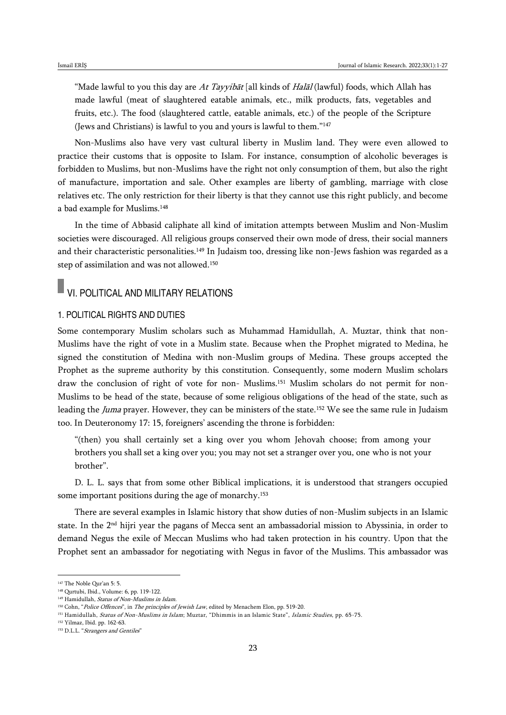"Made lawful to you this day are At Tayyibat [all kinds of Halal (lawful) foods, which Allah has made lawful (meat of slaughtered eatable animals, etc., milk products, fats, vegetables and fruits, etc.). The food (slaughtered cattle, eatable animals, etc.) of the people of the Scripture (Jews and Christians) is lawful to you and yours is lawful to them."<sup>147</sup>

Non-Muslims also have very vast cultural liberty in Muslim land. They were even allowed to practice their customs that is opposite to Islam. For instance, consumption of alcoholic beverages is forbidden to Muslims, but non-Muslims have the right not only consumption of them, but also the right of manufacture, importation and sale. Other examples are liberty of gambling, marriage with close relatives etc. The only restriction for their liberty is that they cannot use this right publicly, and become a bad example for Muslims.<sup>148</sup>

In the time of Abbasid caliphate all kind of imitation attempts between Muslim and Non-Muslim societies were discouraged. All religious groups conserved their own mode of dress, their social manners and their characteristic personalities.<sup>149</sup> In Judaism too, dressing like non-Jews fashion was regarded as a step of assimilation and was not allowed.<sup>150</sup>

# VI. POLITICAL AND MILITARY RELATIONS

## 1. POLITICAL RIGHTS AND DUTIES

Some contemporary Muslim scholars such as Muhammad Hamidullah, A. Muztar, think that non-Muslims have the right of vote in a Muslim state. Because when the Prophet migrated to Medina, he signed the constitution of Medina with non-Muslim groups of Medina. These groups accepted the Prophet as the supreme authority by this constitution. Consequently, some modern Muslim scholars draw the conclusion of right of vote for non- Muslims.<sup>151</sup> Muslim scholars do not permit for non-Muslims to be head of the state, because of some religious obligations of the head of the state, such as leading the Juma prayer. However, they can be ministers of the state.<sup>152</sup> We see the same rule in Judaism too. In Deuteronomy 17: 15, foreigners' ascending the throne is forbidden:

"(then) you shall certainly set a king over you whom Jehovah choose; from among your brothers you shall set a king over you; you may not set a stranger over you, one who is not your brother".

D. L. L. says that from some other Biblical implications, it is understood that strangers occupied some important positions during the age of monarchy.<sup>153</sup>

There are several examples in Islamic history that show duties of non-Muslim subjects in an Islamic state. In the 2nd hijri year the pagans of Mecca sent an ambassadorial mission to Abyssinia, in order to demand Negus the exile of Meccan Muslims who had taken protection in his country. Upon that the Prophet sent an ambassador for negotiating with Negus in favor of the Muslims. This ambassador was

<sup>147</sup> The Noble Qur'an 5: 5.

<sup>148</sup> Qurtubi, Ibid., Volume: 6, pp. 119-122.

<sup>149</sup> Hamidullah, Status of Non-Muslims in Islam.

<sup>&</sup>lt;sup>150</sup> Cohn, "Police Offences", in The principles of Jewish Law, edited by Menachem Elon, pp. 519-20.

<sup>151</sup> Hamidullah, Status of Non-Muslims in Islam; Muztar, "Dhimmis in an Islamic State", Islamic Studies, pp. 65-75.

<sup>152</sup> Yilmaz, Ibid. pp. 162-63.

<sup>153</sup> D.L.L. "Strangers and Gentiles"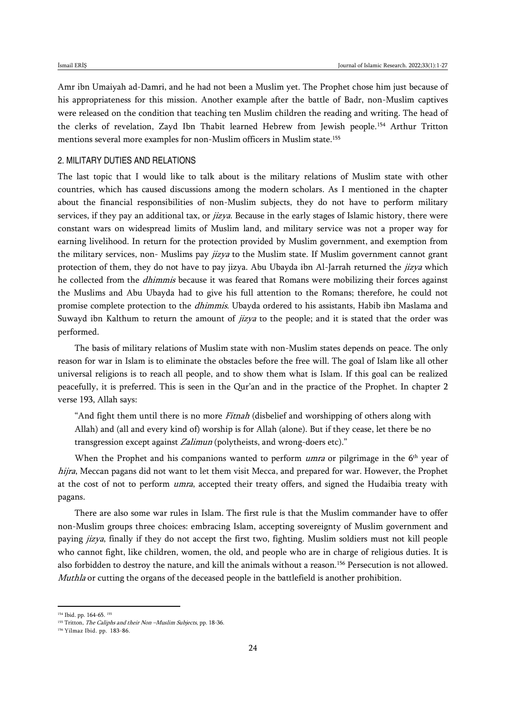Amr ibn Umaiyah ad-Damri, and he had not been a Muslim yet. The Prophet chose him just because of his appropriateness for this mission. Another example after the battle of Badr, non-Muslim captives were released on the condition that teaching ten Muslim children the reading and writing. The head of the clerks of revelation, Zayd Ibn Thabit learned Hebrew from Jewish people.<sup>154</sup> Arthur Tritton mentions several more examples for non-Muslim officers in Muslim state.<sup>155</sup>

### 2. MILITARY DUTIES AND RELATIONS

The last topic that I would like to talk about is the military relations of Muslim state with other countries, which has caused discussions among the modern scholars. As I mentioned in the chapter about the financial responsibilities of non-Muslim subjects, they do not have to perform military services, if they pay an additional tax, or *jizya*. Because in the early stages of Islamic history, there were constant wars on widespread limits of Muslim land, and military service was not a proper way for earning livelihood. In return for the protection provided by Muslim government, and exemption from the military services, non- Muslims pay *jizya* to the Muslim state. If Muslim government cannot grant protection of them, they do not have to pay jizya. Abu Ubayda ibn Al-Jarrah returned the *jizya* which he collected from the *dhimmis* because it was feared that Romans were mobilizing their forces against the Muslims and Abu Ubayda had to give his full attention to the Romans; therefore, he could not promise complete protection to the *dhimmis*. Ubayda ordered to his assistants, Habib ibn Maslama and Suwayd ibn Kalthum to return the amount of *jizya* to the people; and it is stated that the order was performed.

The basis of military relations of Muslim state with non-Muslim states depends on peace. The only reason for war in Islam is to eliminate the obstacles before the free will. The goal of Islam like all other universal religions is to reach all people, and to show them what is Islam. If this goal can be realized peacefully, it is preferred. This is seen in the Qur'an and in the practice of the Prophet. In chapter 2 verse 193, Allah says:

"And fight them until there is no more *Fitnah* (disbelief and worshipping of others along with Allah) and (all and every kind of) worship is for Allah (alone). But if they cease, let there be no transgression except against Zalimun (polytheists, and wrong-doers etc)."

When the Prophet and his companions wanted to perform *umra* or pilgrimage in the  $6<sup>th</sup>$  year of hijra, Meccan pagans did not want to let them visit Mecca, and prepared for war. However, the Prophet at the cost of not to perform *umra*, accepted their treaty offers, and signed the Hudaibia treaty with pagans.

There are also some war rules in Islam. The first rule is that the Muslim commander have to offer non-Muslim groups three choices: embracing Islam, accepting sovereignty of Muslim government and paying jizya, finally if they do not accept the first two, fighting. Muslim soldiers must not kill people who cannot fight, like children, women, the old, and people who are in charge of religious duties. It is also forbidden to destroy the nature, and kill the animals without a reason.<sup>156</sup> Persecution is not allowed. Muthla or cutting the organs of the deceased people in the battlefield is another prohibition.

<sup>154</sup> Ibid. pp. 164-65. <sup>155</sup>

 $155$  Tritton, *The Caliphs and their Non –Muslim Subjects*, pp. 18-36.

<sup>156</sup> Yilmaz Ibid. pp. 183-86.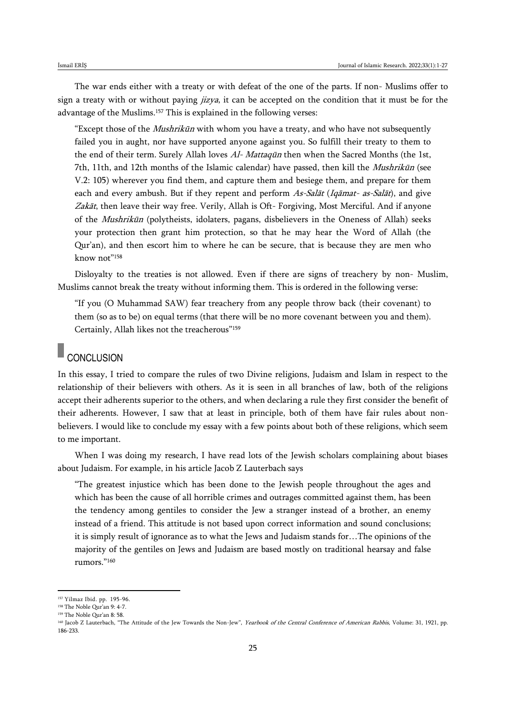The war ends either with a treaty or with defeat of the one of the parts. If non- Muslims offer to sign a treaty with or without paying *jizya*, it can be accepted on the condition that it must be for the advantage of the Muslims.<sup>157</sup> This is explained in the following verses:

"Except those of the *Mushrikūn* with whom you have a treaty, and who have not subsequently failed you in aught, nor have supported anyone against you. So fulfill their treaty to them to the end of their term. Surely Allah loves Al- Mattaqūn then when the Sacred Months (the 1st, 7th, 11th, and 12th months of the Islamic calendar) have passed, then kill the Mushrikūn (see V.2: 105) wherever you find them, and capture them and besiege them, and prepare for them each and every ambush. But if they repent and perform As-Salāt (Iqāmat- as-Salāt), and give Zakāt, then leave their way free. Verily, Allah is Oft- Forgiving, Most Merciful. And if anyone of the Mushrikūn (polytheists, idolaters, pagans, disbelievers in the Oneness of Allah) seeks your protection then grant him protection, so that he may hear the Word of Allah (the Qur'an), and then escort him to where he can be secure, that is because they are men who know not"<sup>158</sup>

Disloyalty to the treaties is not allowed. Even if there are signs of treachery by non- Muslim, Muslims cannot break the treaty without informing them. This is ordered in the following verse:

"If you (O Muhammad SAW) fear treachery from any people throw back (their covenant) to them (so as to be) on equal terms (that there will be no more covenant between you and them). Certainly, Allah likes not the treacherous"<sup>159</sup>

# **CONCLUSION**

In this essay, I tried to compare the rules of two Divine religions, Judaism and Islam in respect to the relationship of their believers with others. As it is seen in all branches of law, both of the religions accept their adherents superior to the others, and when declaring a rule they first consider the benefit of their adherents. However, I saw that at least in principle, both of them have fair rules about nonbelievers. I would like to conclude my essay with a few points about both of these religions, which seem to me important.

When I was doing my research, I have read lots of the Jewish scholars complaining about biases about Judaism. For example, in his article Jacob Z Lauterbach says

"The greatest injustice which has been done to the Jewish people throughout the ages and which has been the cause of all horrible crimes and outrages committed against them, has been the tendency among gentiles to consider the Jew a stranger instead of a brother, an enemy instead of a friend. This attitude is not based upon correct information and sound conclusions; it is simply result of ignorance as to what the Jews and Judaism stands for…The opinions of the majority of the gentiles on Jews and Judaism are based mostly on traditional hearsay and false rumors."<sup>160</sup>

<sup>157</sup> Yilmaz Ibid. pp. 195-96.

<sup>158</sup> The Noble Qur'an 9: 4-7.

<sup>159</sup> The Noble Qur'an 8: 58.

<sup>&</sup>lt;sup>160</sup> Jacob Z Lauterbach, "The Attitude of the Jew Towards the Non-Jew", *Yearbook of the Central Conference of American Rabbis*, Volume: 31, 1921, pp. 186-233.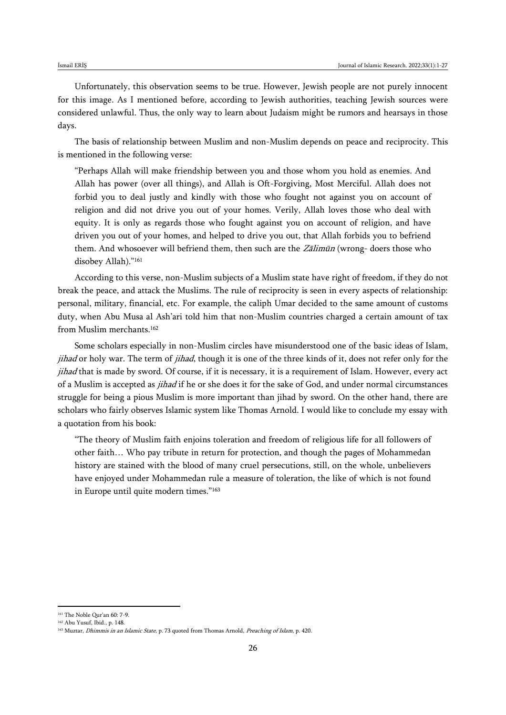Unfortunately, this observation seems to be true. However, Jewish people are not purely innocent for this image. As I mentioned before, according to Jewish authorities, teaching Jewish sources were considered unlawful. Thus, the only way to learn about Judaism might be rumors and hearsays in those days.

The basis of relationship between Muslim and non-Muslim depends on peace and reciprocity. This is mentioned in the following verse:

"Perhaps Allah will make friendship between you and those whom you hold as enemies. And Allah has power (over all things), and Allah is Oft-Forgiving, Most Merciful. Allah does not forbid you to deal justly and kindly with those who fought not against you on account of religion and did not drive you out of your homes. Verily, Allah loves those who deal with equity. It is only as regards those who fought against you on account of religion, and have driven you out of your homes, and helped to drive you out, that Allah forbids you to befriend them. And whosoever will befriend them, then such are the Zalimūn (wrong- doers those who disobey Allah)."<sup>161</sup>

According to this verse, non-Muslim subjects of a Muslim state have right of freedom, if they do not break the peace, and attack the Muslims. The rule of reciprocity is seen in every aspects of relationship: personal, military, financial, etc. For example, the caliph Umar decided to the same amount of customs duty, when Abu Musa al Ash'ari told him that non-Muslim countries charged a certain amount of tax from Muslim merchants.<sup>162</sup>

Some scholars especially in non-Muslim circles have misunderstood one of the basic ideas of Islam, jihad or holy war. The term of jihad, though it is one of the three kinds of it, does not refer only for the jihad that is made by sword. Of course, if it is necessary, it is a requirement of Islam. However, every act of a Muslim is accepted as *jihad* if he or she does it for the sake of God, and under normal circumstances struggle for being a pious Muslim is more important than jihad by sword. On the other hand, there are scholars who fairly observes Islamic system like Thomas Arnold. I would like to conclude my essay with a quotation from his book:

"The theory of Muslim faith enjoins toleration and freedom of religious life for all followers of other faith… Who pay tribute in return for protection, and though the pages of Mohammedan history are stained with the blood of many cruel persecutions, still, on the whole, unbelievers have enjoyed under Mohammedan rule a measure of toleration, the like of which is not found in Europe until quite modern times."<sup>163</sup>

<sup>161</sup> The Noble Qur'an 60: 7-9.

<sup>162</sup> Abu Yusuf, Ibid., p. 148.

<sup>163</sup> Muztar, *Dhimmis in an Islamic State*, p. 73 quoted from Thomas Arnold, *Preaching of Islam*, p. 420.